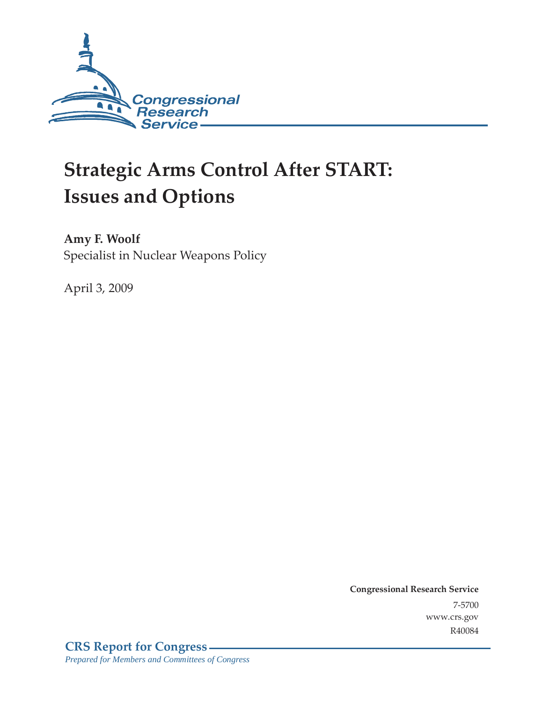

# **Strategic Arms Control After START: Issues and Options**

**Amy F. Woolf**  Specialist in Nuclear Weapons Policy

April 3, 2009

**Congressional Research Service** 7-5700 www.crs.gov R40084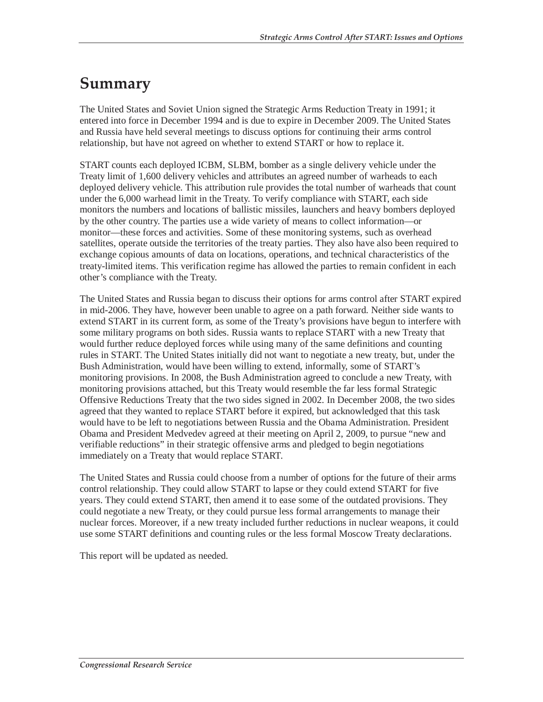## **Summary**

The United States and Soviet Union signed the Strategic Arms Reduction Treaty in 1991; it entered into force in December 1994 and is due to expire in December 2009. The United States and Russia have held several meetings to discuss options for continuing their arms control relationship, but have not agreed on whether to extend START or how to replace it.

START counts each deployed ICBM, SLBM, bomber as a single delivery vehicle under the Treaty limit of 1,600 delivery vehicles and attributes an agreed number of warheads to each deployed delivery vehicle. This attribution rule provides the total number of warheads that count under the 6,000 warhead limit in the Treaty. To verify compliance with START, each side monitors the numbers and locations of ballistic missiles, launchers and heavy bombers deployed by the other country. The parties use a wide variety of means to collect information—or monitor—these forces and activities. Some of these monitoring systems, such as overhead satellites, operate outside the territories of the treaty parties. They also have also been required to exchange copious amounts of data on locations, operations, and technical characteristics of the treaty-limited items. This verification regime has allowed the parties to remain confident in each other's compliance with the Treaty.

The United States and Russia began to discuss their options for arms control after START expired in mid-2006. They have, however been unable to agree on a path forward. Neither side wants to extend START in its current form, as some of the Treaty's provisions have begun to interfere with some military programs on both sides. Russia wants to replace START with a new Treaty that would further reduce deployed forces while using many of the same definitions and counting rules in START. The United States initially did not want to negotiate a new treaty, but, under the Bush Administration, would have been willing to extend, informally, some of START's monitoring provisions. In 2008, the Bush Administration agreed to conclude a new Treaty, with monitoring provisions attached, but this Treaty would resemble the far less formal Strategic Offensive Reductions Treaty that the two sides signed in 2002. In December 2008, the two sides agreed that they wanted to replace START before it expired, but acknowledged that this task would have to be left to negotiations between Russia and the Obama Administration. President Obama and President Medvedev agreed at their meeting on April 2, 2009, to pursue "new and verifiable reductions" in their strategic offensive arms and pledged to begin negotiations immediately on a Treaty that would replace START.

The United States and Russia could choose from a number of options for the future of their arms control relationship. They could allow START to lapse or they could extend START for five years. They could extend START, then amend it to ease some of the outdated provisions. They could negotiate a new Treaty, or they could pursue less formal arrangements to manage their nuclear forces. Moreover, if a new treaty included further reductions in nuclear weapons, it could use some START definitions and counting rules or the less formal Moscow Treaty declarations.

This report will be updated as needed.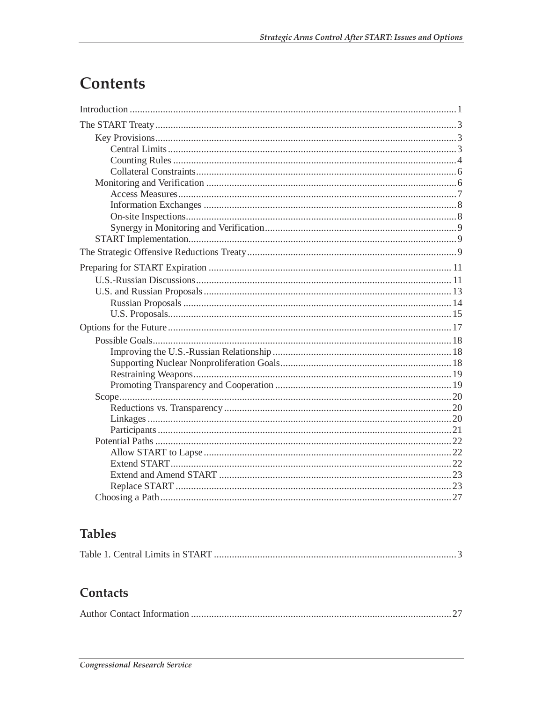## **Contents**

## **Tables**

|--|--|

## Contacts

|--|--|--|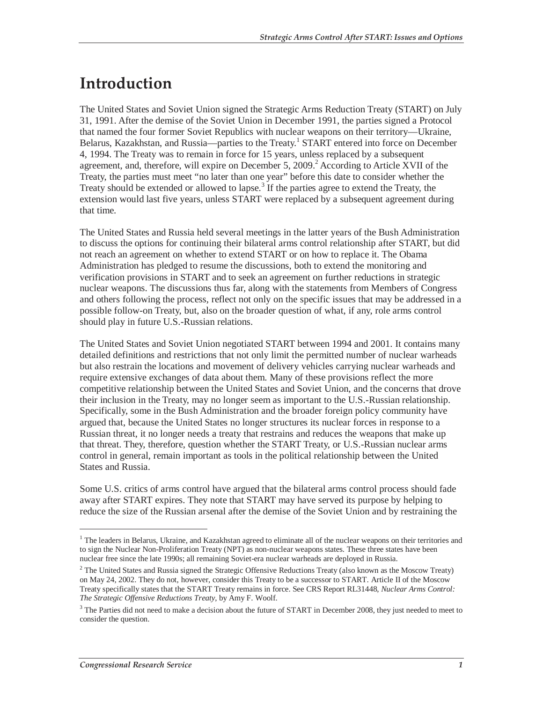## **Introduction**

The United States and Soviet Union signed the Strategic Arms Reduction Treaty (START) on July 31, 1991. After the demise of the Soviet Union in December 1991, the parties signed a Protocol that named the four former Soviet Republics with nuclear weapons on their territory—Ukraine, Belarus, Kazakhstan, and Russia—parties to the Treaty.<sup>1</sup> START entered into force on December 4, 1994. The Treaty was to remain in force for 15 years, unless replaced by a subsequent agreement, and, therefore, will expire on December 5, 2009.<sup>2</sup> According to Article XVII of the Treaty, the parties must meet "no later than one year" before this date to consider whether the Treaty should be extended or allowed to lapse.<sup>3</sup> If the parties agree to extend the Treaty, the extension would last five years, unless START were replaced by a subsequent agreement during that time.

The United States and Russia held several meetings in the latter years of the Bush Administration to discuss the options for continuing their bilateral arms control relationship after START, but did not reach an agreement on whether to extend START or on how to replace it. The Obama Administration has pledged to resume the discussions, both to extend the monitoring and verification provisions in START and to seek an agreement on further reductions in strategic nuclear weapons. The discussions thus far, along with the statements from Members of Congress and others following the process, reflect not only on the specific issues that may be addressed in a possible follow-on Treaty, but, also on the broader question of what, if any, role arms control should play in future U.S.-Russian relations.

The United States and Soviet Union negotiated START between 1994 and 2001. It contains many detailed definitions and restrictions that not only limit the permitted number of nuclear warheads but also restrain the locations and movement of delivery vehicles carrying nuclear warheads and require extensive exchanges of data about them. Many of these provisions reflect the more competitive relationship between the United States and Soviet Union, and the concerns that drove their inclusion in the Treaty, may no longer seem as important to the U.S.-Russian relationship. Specifically, some in the Bush Administration and the broader foreign policy community have argued that, because the United States no longer structures its nuclear forces in response to a Russian threat, it no longer needs a treaty that restrains and reduces the weapons that make up that threat. They, therefore, question whether the START Treaty, or U.S.-Russian nuclear arms control in general, remain important as tools in the political relationship between the United States and Russia.

Some U.S. critics of arms control have argued that the bilateral arms control process should fade away after START expires. They note that START may have served its purpose by helping to reduce the size of the Russian arsenal after the demise of the Soviet Union and by restraining the

<sup>&</sup>lt;sup>1</sup> The leaders in Belarus, Ukraine, and Kazakhstan agreed to eliminate all of the nuclear weapons on their territories and to sign the Nuclear Non-Proliferation Treaty (NPT) as non-nuclear weapons states. These three states have been nuclear free since the late 1990s; all remaining Soviet-era nuclear warheads are deployed in Russia.

 $2$  The United States and Russia signed the Strategic Offensive Reductions Treaty (also known as the Moscow Treaty) on May 24, 2002. They do not, however, consider this Treaty to be a successor to START. Article II of the Moscow Treaty specifically states that the START Treaty remains in force. See CRS Report RL31448, *Nuclear Arms Control: The Strategic Offensive Reductions Treaty*, by Amy F. Woolf.

<sup>&</sup>lt;sup>3</sup> The Parties did not need to make a decision about the future of START in December 2008, they just needed to meet to consider the question.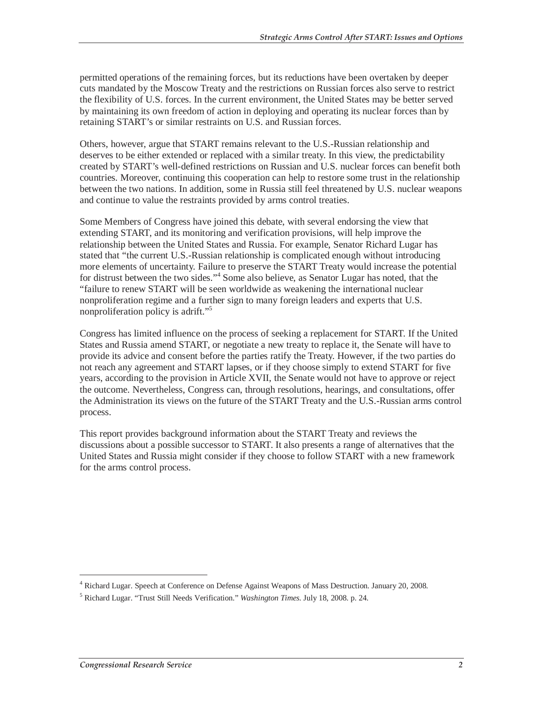permitted operations of the remaining forces, but its reductions have been overtaken by deeper cuts mandated by the Moscow Treaty and the restrictions on Russian forces also serve to restrict the flexibility of U.S. forces. In the current environment, the United States may be better served by maintaining its own freedom of action in deploying and operating its nuclear forces than by retaining START's or similar restraints on U.S. and Russian forces.

Others, however, argue that START remains relevant to the U.S.-Russian relationship and deserves to be either extended or replaced with a similar treaty. In this view, the predictability created by START's well-defined restrictions on Russian and U.S. nuclear forces can benefit both countries. Moreover, continuing this cooperation can help to restore some trust in the relationship between the two nations. In addition, some in Russia still feel threatened by U.S. nuclear weapons and continue to value the restraints provided by arms control treaties.

Some Members of Congress have joined this debate, with several endorsing the view that extending START, and its monitoring and verification provisions, will help improve the relationship between the United States and Russia. For example, Senator Richard Lugar has stated that "the current U.S.-Russian relationship is complicated enough without introducing more elements of uncertainty. Failure to preserve the START Treaty would increase the potential for distrust between the two sides."<sup>4</sup> Some also believe, as Senator Lugar has noted, that the "failure to renew START will be seen worldwide as weakening the international nuclear nonproliferation regime and a further sign to many foreign leaders and experts that U.S. nonproliferation policy is adrift."<sup>5</sup>

Congress has limited influence on the process of seeking a replacement for START. If the United States and Russia amend START, or negotiate a new treaty to replace it, the Senate will have to provide its advice and consent before the parties ratify the Treaty. However, if the two parties do not reach any agreement and START lapses, or if they choose simply to extend START for five years, according to the provision in Article XVII, the Senate would not have to approve or reject the outcome. Nevertheless, Congress can, through resolutions, hearings, and consultations, offer the Administration its views on the future of the START Treaty and the U.S.-Russian arms control process.

This report provides background information about the START Treaty and reviews the discussions about a possible successor to START. It also presents a range of alternatives that the United States and Russia might consider if they choose to follow START with a new framework for the arms control process.

<sup>&</sup>lt;sup>4</sup> Richard Lugar. Speech at Conference on Defense Against Weapons of Mass Destruction. January 20, 2008.

<sup>5</sup> Richard Lugar. "Trust Still Needs Verification." *Washington Times*. July 18, 2008. p. 24.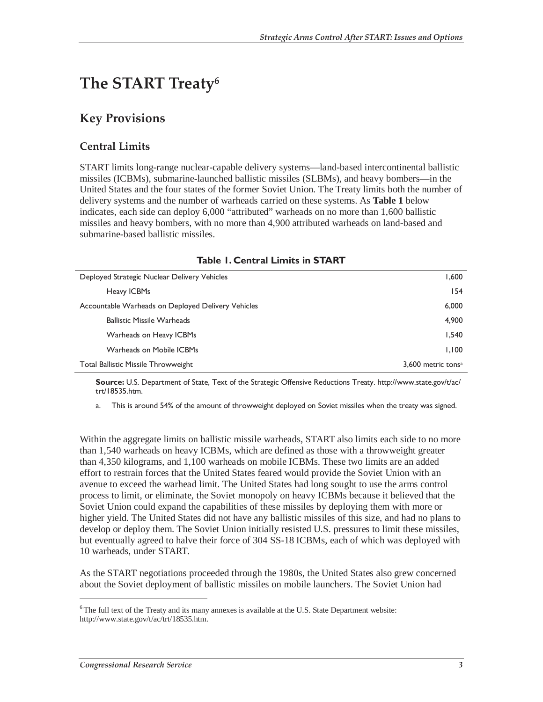## **The START Treaty6**

## **Key Provisions**

### **Central Limits**

START limits long-range nuclear-capable delivery systems—land-based intercontinental ballistic missiles (ICBMs), submarine-launched ballistic missiles (SLBMs), and heavy bombers—in the United States and the four states of the former Soviet Union. The Treaty limits both the number of delivery systems and the number of warheads carried on these systems. As **Table 1** below indicates, each side can deploy 6,000 "attributed" warheads on no more than 1,600 ballistic missiles and heavy bombers, with no more than 4,900 attributed warheads on land-based and submarine-based ballistic missiles.

| TADIE T. CENTRAL ENTIIUS IN STAINT                 |                                |
|----------------------------------------------------|--------------------------------|
| Deployed Strategic Nuclear Delivery Vehicles       | 1,600                          |
| Heavy ICBMs                                        | 154                            |
| Accountable Warheads on Deployed Delivery Vehicles | 6,000                          |
| <b>Ballistic Missile Warheads</b>                  | 4,900                          |
| Warheads on Heavy ICBMs                            | 1.540                          |
| Warheads on Mobile ICBMs                           | 1.100                          |
| <b>Total Ballistic Missile Throwweight</b>         | 3.600 metric tons <sup>a</sup> |

#### **Table 1. Central Limits in START**

**Source:** U.S. Department of State, Text of the Strategic Offensive Reductions Treaty. http://www.state.gov/t/ac/ trt/18535.htm.

a. This is around 54% of the amount of throwweight deployed on Soviet missiles when the treaty was signed.

Within the aggregate limits on ballistic missile warheads, START also limits each side to no more than 1,540 warheads on heavy ICBMs, which are defined as those with a throwweight greater than 4,350 kilograms, and 1,100 warheads on mobile ICBMs. These two limits are an added effort to restrain forces that the United States feared would provide the Soviet Union with an avenue to exceed the warhead limit. The United States had long sought to use the arms control process to limit, or eliminate, the Soviet monopoly on heavy ICBMs because it believed that the Soviet Union could expand the capabilities of these missiles by deploying them with more or higher yield. The United States did not have any ballistic missiles of this size, and had no plans to develop or deploy them. The Soviet Union initially resisted U.S. pressures to limit these missiles, but eventually agreed to halve their force of 304 SS-18 ICBMs, each of which was deployed with 10 warheads, under START.

As the START negotiations proceeded through the 1980s, the United States also grew concerned about the Soviet deployment of ballistic missiles on mobile launchers. The Soviet Union had

 $6$ The full text of the Treaty and its many annexes is available at the U.S. State Department website: http://www.state.gov/t/ac/trt/18535.htm.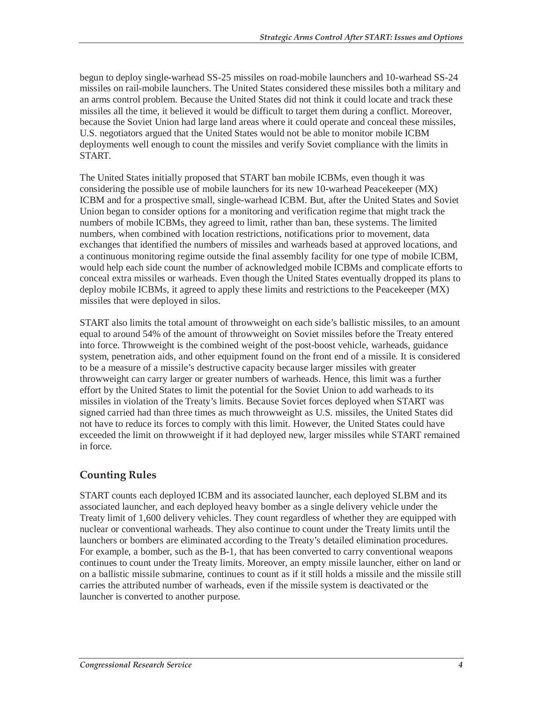begun to deploy single-warhead SS-25 missiles on road-mobile launchers and 10-warhead SS-24 missiles on rail-mobile launchers. The United States considered these missiles both a military and an arms control problem. Because the United States did not think it could locate and track these missiles all the time, it believed it would be difficult to target them during a conflict. Moreover, because the Soviet Union had large land areas where it could operate and conceal these missiles, U.S. negotiators argued that the United States would not be able to monitor mobile ICBM deployments well enough to count the missiles and verify Soviet compliance with the limits in START.

The United States initially proposed that START ban mobile ICBMs, even though it was considering the possible use of mobile launchers for its new 10-warhead Peacekeeper (MX) ICBM and for a prospective small, single-warhead ICBM. But, after the United States and Soviet Union began to consider options for a monitoring and verification regime that might track the numbers of mobile ICBMs, they agreed to limit, rather than ban, these systems. The limited numbers, when combined with location restrictions, notifications prior to movement, data exchanges that identified the numbers of missiles and warheads based at approved locations, and a continuous monitoring regime outside the final assembly facility for one type of mobile ICBM, would help each side count the number of acknowledged mobile ICBMs and complicate efforts to conceal extra missiles or warheads. Even though the United States eventually dropped its plans to deploy mobile ICBMs, it agreed to apply these limits and restrictions to the Peacekeeper (MX) missiles that were deployed in silos.

START also limits the total amount of throwweight on each side's ballistic missiles, to an amount equal to around 54% of the amount of throwweight on Soviet missiles before the Treaty entered into force. Throwweight is the combined weight of the post-boost vehicle, warheads, guidance system, penetration aids, and other equipment found on the front end of a missile. It is considered to be a measure of a missile's destructive capacity because larger missiles with greater throwweight can carry larger or greater numbers of warheads. Hence, this limit was a further effort by the United States to limit the potential for the Soviet Union to add warheads to its missiles in violation of the Treaty's limits. Because Soviet forces deployed when START was signed carried had than three times as much throwweight as U.S. missiles, the United States did not have to reduce its forces to comply with this limit. However, the United States could have exceeded the limit on throwweight if it had deployed new, larger missiles while START remained in force.

### **Counting Rules**

START counts each deployed ICBM and its associated launcher, each deployed SLBM and its associated launcher, and each deployed heavy bomber as a single delivery vehicle under the Treaty limit of 1,600 delivery vehicles. They count regardless of whether they are equipped with nuclear or conventional warheads. They also continue to count under the Treaty limits until the launchers or bombers are eliminated according to the Treaty's detailed elimination procedures. For example, a bomber, such as the B-1, that has been converted to carry conventional weapons continues to count under the Treaty limits. Moreover, an empty missile launcher, either on land or on a ballistic missile submarine, continues to count as if it still holds a missile and the missile still carries the attributed number of warheads, even if the missile system is deactivated or the launcher is converted to another purpose.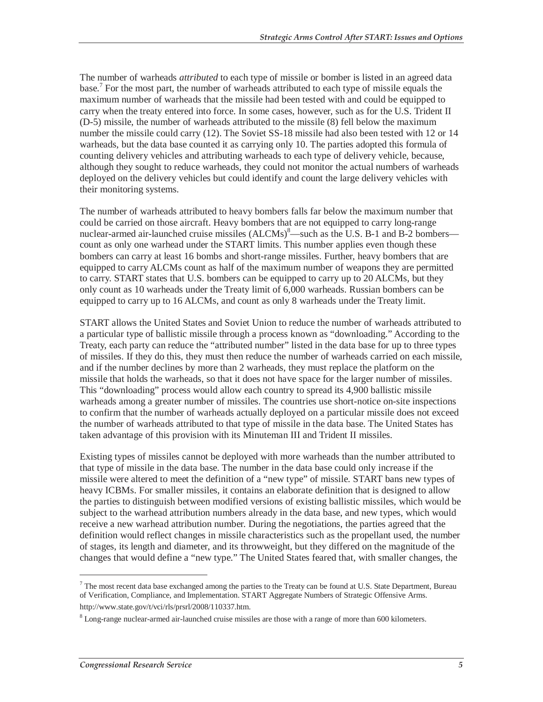The number of warheads *attributed* to each type of missile or bomber is listed in an agreed data base.<sup>7</sup> For the most part, the number of warheads attributed to each type of missile equals the maximum number of warheads that the missile had been tested with and could be equipped to carry when the treaty entered into force. In some cases, however, such as for the U.S. Trident II (D-5) missile, the number of warheads attributed to the missile (8) fell below the maximum number the missile could carry (12). The Soviet SS-18 missile had also been tested with 12 or 14 warheads, but the data base counted it as carrying only 10. The parties adopted this formula of counting delivery vehicles and attributing warheads to each type of delivery vehicle, because, although they sought to reduce warheads, they could not monitor the actual numbers of warheads deployed on the delivery vehicles but could identify and count the large delivery vehicles with their monitoring systems.

The number of warheads attributed to heavy bombers falls far below the maximum number that could be carried on those aircraft. Heavy bombers that are not equipped to carry long-range nuclear-armed air-launched cruise missiles  $(ALCMs)^8$ —such as the U.S. B-1 and B-2 bombers count as only one warhead under the START limits. This number applies even though these bombers can carry at least 16 bombs and short-range missiles. Further, heavy bombers that are equipped to carry ALCMs count as half of the maximum number of weapons they are permitted to carry. START states that U.S. bombers can be equipped to carry up to 20 ALCMs, but they only count as 10 warheads under the Treaty limit of 6,000 warheads. Russian bombers can be equipped to carry up to 16 ALCMs, and count as only 8 warheads under the Treaty limit.

START allows the United States and Soviet Union to reduce the number of warheads attributed to a particular type of ballistic missile through a process known as "downloading." According to the Treaty, each party can reduce the "attributed number" listed in the data base for up to three types of missiles. If they do this, they must then reduce the number of warheads carried on each missile, and if the number declines by more than 2 warheads, they must replace the platform on the missile that holds the warheads, so that it does not have space for the larger number of missiles. This "downloading" process would allow each country to spread its 4,900 ballistic missile warheads among a greater number of missiles. The countries use short-notice on-site inspections to confirm that the number of warheads actually deployed on a particular missile does not exceed the number of warheads attributed to that type of missile in the data base. The United States has taken advantage of this provision with its Minuteman III and Trident II missiles.

Existing types of missiles cannot be deployed with more warheads than the number attributed to that type of missile in the data base. The number in the data base could only increase if the missile were altered to meet the definition of a "new type" of missile. START bans new types of heavy ICBMs. For smaller missiles, it contains an elaborate definition that is designed to allow the parties to distinguish between modified versions of existing ballistic missiles, which would be subject to the warhead attribution numbers already in the data base, and new types, which would receive a new warhead attribution number. During the negotiations, the parties agreed that the definition would reflect changes in missile characteristics such as the propellant used, the number of stages, its length and diameter, and its throwweight, but they differed on the magnitude of the changes that would define a "new type." The United States feared that, with smaller changes, the

 $7$  The most recent data base exchanged among the parties to the Treaty can be found at U.S. State Department, Bureau of Verification, Compliance, and Implementation. START Aggregate Numbers of Strategic Offensive Arms. http://www.state.gov/t/vci/rls/prsrl/2008/110337.htm.

<sup>&</sup>lt;sup>8</sup> Long-range nuclear-armed air-launched cruise missiles are those with a range of more than 600 kilometers.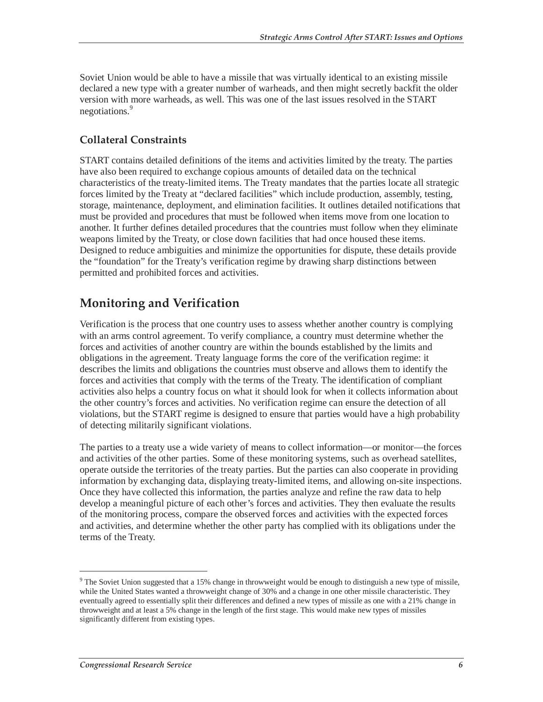Soviet Union would be able to have a missile that was virtually identical to an existing missile declared a new type with a greater number of warheads, and then might secretly backfit the older version with more warheads, as well. This was one of the last issues resolved in the START negotiations.<sup>9</sup>

### **Collateral Constraints**

START contains detailed definitions of the items and activities limited by the treaty. The parties have also been required to exchange copious amounts of detailed data on the technical characteristics of the treaty-limited items. The Treaty mandates that the parties locate all strategic forces limited by the Treaty at "declared facilities" which include production, assembly, testing, storage, maintenance, deployment, and elimination facilities. It outlines detailed notifications that must be provided and procedures that must be followed when items move from one location to another. It further defines detailed procedures that the countries must follow when they eliminate weapons limited by the Treaty, or close down facilities that had once housed these items. Designed to reduce ambiguities and minimize the opportunities for dispute, these details provide the "foundation" for the Treaty's verification regime by drawing sharp distinctions between permitted and prohibited forces and activities.

## **Monitoring and Verification**

Verification is the process that one country uses to assess whether another country is complying with an arms control agreement. To verify compliance, a country must determine whether the forces and activities of another country are within the bounds established by the limits and obligations in the agreement. Treaty language forms the core of the verification regime: it describes the limits and obligations the countries must observe and allows them to identify the forces and activities that comply with the terms of the Treaty. The identification of compliant activities also helps a country focus on what it should look for when it collects information about the other country's forces and activities. No verification regime can ensure the detection of all violations, but the START regime is designed to ensure that parties would have a high probability of detecting militarily significant violations.

The parties to a treaty use a wide variety of means to collect information—or monitor—the forces and activities of the other parties. Some of these monitoring systems, such as overhead satellites, operate outside the territories of the treaty parties. But the parties can also cooperate in providing information by exchanging data, displaying treaty-limited items, and allowing on-site inspections. Once they have collected this information, the parties analyze and refine the raw data to help develop a meaningful picture of each other's forces and activities. They then evaluate the results of the monitoring process, compare the observed forces and activities with the expected forces and activities, and determine whether the other party has complied with its obligations under the terms of the Treaty.

<sup>&</sup>lt;sup>9</sup> The Soviet Union suggested that a 15% change in throwweight would be enough to distinguish a new type of missile, while the United States wanted a throwweight change of 30% and a change in one other missile characteristic. They eventually agreed to essentially split their differences and defined a new types of missile as one with a 21% change in throwweight and at least a 5% change in the length of the first stage. This would make new types of missiles significantly different from existing types.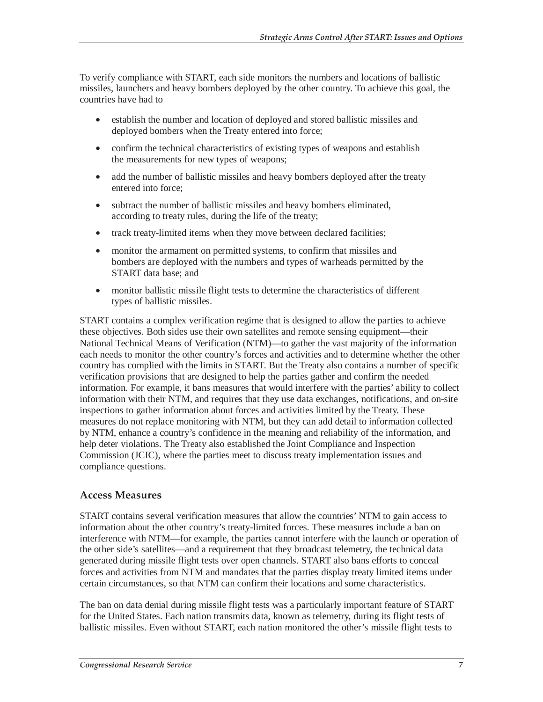To verify compliance with START, each side monitors the numbers and locations of ballistic missiles, launchers and heavy bombers deployed by the other country. To achieve this goal, the countries have had to

- establish the number and location of deployed and stored ballistic missiles and deployed bombers when the Treaty entered into force;
- confirm the technical characteristics of existing types of weapons and establish the measurements for new types of weapons;
- add the number of ballistic missiles and heavy bombers deployed after the treaty entered into force;
- subtract the number of ballistic missiles and heavy bombers eliminated, according to treaty rules, during the life of the treaty;
- track treaty-limited items when they move between declared facilities;
- monitor the armament on permitted systems, to confirm that missiles and bombers are deployed with the numbers and types of warheads permitted by the START data base; and
- monitor ballistic missile flight tests to determine the characteristics of different types of ballistic missiles.

START contains a complex verification regime that is designed to allow the parties to achieve these objectives. Both sides use their own satellites and remote sensing equipment—their National Technical Means of Verification (NTM)—to gather the vast majority of the information each needs to monitor the other country's forces and activities and to determine whether the other country has complied with the limits in START. But the Treaty also contains a number of specific verification provisions that are designed to help the parties gather and confirm the needed information. For example, it bans measures that would interfere with the parties' ability to collect information with their NTM, and requires that they use data exchanges, notifications, and on-site inspections to gather information about forces and activities limited by the Treaty. These measures do not replace monitoring with NTM, but they can add detail to information collected by NTM, enhance a country's confidence in the meaning and reliability of the information, and help deter violations. The Treaty also established the Joint Compliance and Inspection Commission (JCIC), where the parties meet to discuss treaty implementation issues and compliance questions.

#### **Access Measures**

START contains several verification measures that allow the countries' NTM to gain access to information about the other country's treaty-limited forces. These measures include a ban on interference with NTM—for example, the parties cannot interfere with the launch or operation of the other side's satellites—and a requirement that they broadcast telemetry, the technical data generated during missile flight tests over open channels. START also bans efforts to conceal forces and activities from NTM and mandates that the parties display treaty limited items under certain circumstances, so that NTM can confirm their locations and some characteristics.

The ban on data denial during missile flight tests was a particularly important feature of START for the United States. Each nation transmits data, known as telemetry, during its flight tests of ballistic missiles. Even without START, each nation monitored the other's missile flight tests to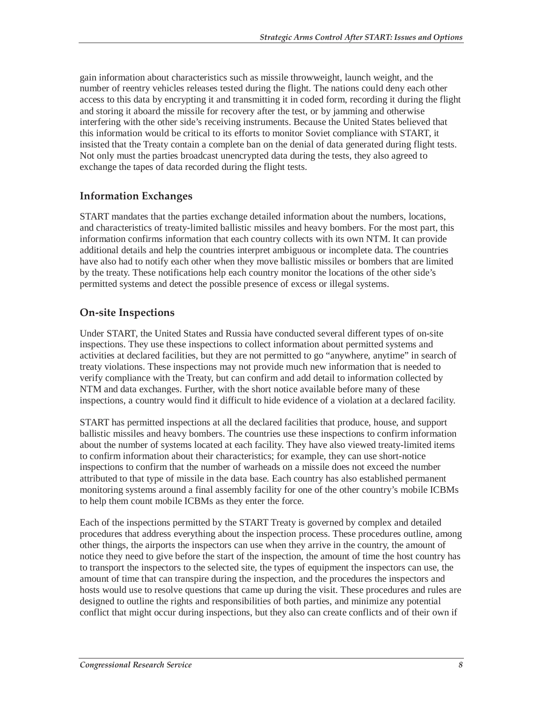gain information about characteristics such as missile throwweight, launch weight, and the number of reentry vehicles releases tested during the flight. The nations could deny each other access to this data by encrypting it and transmitting it in coded form, recording it during the flight and storing it aboard the missile for recovery after the test, or by jamming and otherwise interfering with the other side's receiving instruments. Because the United States believed that this information would be critical to its efforts to monitor Soviet compliance with START, it insisted that the Treaty contain a complete ban on the denial of data generated during flight tests. Not only must the parties broadcast unencrypted data during the tests, they also agreed to exchange the tapes of data recorded during the flight tests.

### **Information Exchanges**

START mandates that the parties exchange detailed information about the numbers, locations, and characteristics of treaty-limited ballistic missiles and heavy bombers. For the most part, this information confirms information that each country collects with its own NTM. It can provide additional details and help the countries interpret ambiguous or incomplete data. The countries have also had to notify each other when they move ballistic missiles or bombers that are limited by the treaty. These notifications help each country monitor the locations of the other side's permitted systems and detect the possible presence of excess or illegal systems.

### **On-site Inspections**

Under START, the United States and Russia have conducted several different types of on-site inspections. They use these inspections to collect information about permitted systems and activities at declared facilities, but they are not permitted to go "anywhere, anytime" in search of treaty violations. These inspections may not provide much new information that is needed to verify compliance with the Treaty, but can confirm and add detail to information collected by NTM and data exchanges. Further, with the short notice available before many of these inspections, a country would find it difficult to hide evidence of a violation at a declared facility.

START has permitted inspections at all the declared facilities that produce, house, and support ballistic missiles and heavy bombers. The countries use these inspections to confirm information about the number of systems located at each facility. They have also viewed treaty-limited items to confirm information about their characteristics; for example, they can use short-notice inspections to confirm that the number of warheads on a missile does not exceed the number attributed to that type of missile in the data base. Each country has also established permanent monitoring systems around a final assembly facility for one of the other country's mobile ICBMs to help them count mobile ICBMs as they enter the force.

Each of the inspections permitted by the START Treaty is governed by complex and detailed procedures that address everything about the inspection process. These procedures outline, among other things, the airports the inspectors can use when they arrive in the country, the amount of notice they need to give before the start of the inspection, the amount of time the host country has to transport the inspectors to the selected site, the types of equipment the inspectors can use, the amount of time that can transpire during the inspection, and the procedures the inspectors and hosts would use to resolve questions that came up during the visit. These procedures and rules are designed to outline the rights and responsibilities of both parties, and minimize any potential conflict that might occur during inspections, but they also can create conflicts and of their own if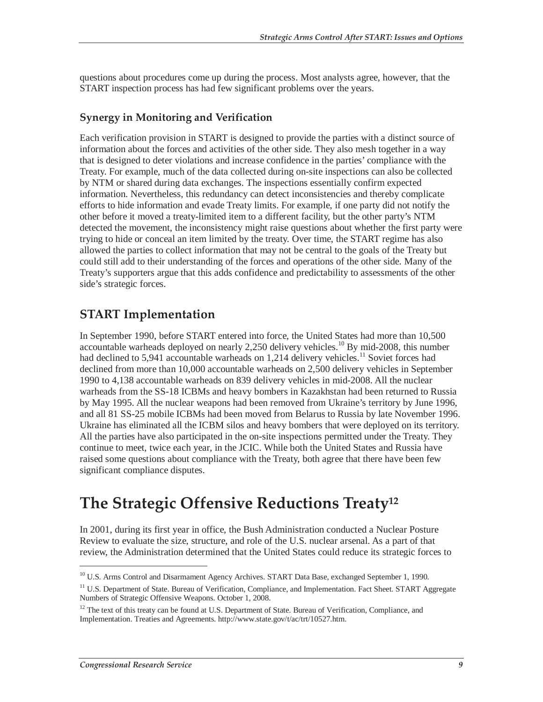questions about procedures come up during the process. Most analysts agree, however, that the START inspection process has had few significant problems over the years.

### **Synergy in Monitoring and Verification**

Each verification provision in START is designed to provide the parties with a distinct source of information about the forces and activities of the other side. They also mesh together in a way that is designed to deter violations and increase confidence in the parties' compliance with the Treaty. For example, much of the data collected during on-site inspections can also be collected by NTM or shared during data exchanges. The inspections essentially confirm expected information. Nevertheless, this redundancy can detect inconsistencies and thereby complicate efforts to hide information and evade Treaty limits. For example, if one party did not notify the other before it moved a treaty-limited item to a different facility, but the other party's NTM detected the movement, the inconsistency might raise questions about whether the first party were trying to hide or conceal an item limited by the treaty. Over time, the START regime has also allowed the parties to collect information that may not be central to the goals of the Treaty but could still add to their understanding of the forces and operations of the other side. Many of the Treaty's supporters argue that this adds confidence and predictability to assessments of the other side's strategic forces.

## **START Implementation**

In September 1990, before START entered into force, the United States had more than 10,500 accountable warheads deployed on nearly 2,250 delivery vehicles.<sup>10</sup> By mid-2008, this number had declined to 5,941 accountable warheads on 1,214 delivery vehicles.<sup>11</sup> Soviet forces had declined from more than 10,000 accountable warheads on 2,500 delivery vehicles in September 1990 to 4,138 accountable warheads on 839 delivery vehicles in mid-2008. All the nuclear warheads from the SS-18 ICBMs and heavy bombers in Kazakhstan had been returned to Russia by May 1995. All the nuclear weapons had been removed from Ukraine's territory by June 1996, and all 81 SS-25 mobile ICBMs had been moved from Belarus to Russia by late November 1996. Ukraine has eliminated all the ICBM silos and heavy bombers that were deployed on its territory. All the parties have also participated in the on-site inspections permitted under the Treaty. They continue to meet, twice each year, in the JCIC. While both the United States and Russia have raised some questions about compliance with the Treaty, both agree that there have been few significant compliance disputes.

## **The Strategic Offensive Reductions Treaty12**

In 2001, during its first year in office, the Bush Administration conducted a Nuclear Posture Review to evaluate the size, structure, and role of the U.S. nuclear arsenal. As a part of that review, the Administration determined that the United States could reduce its strategic forces to

<sup>&</sup>lt;sup>10</sup> U.S. Arms Control and Disarmament Agency Archives. START Data Base, exchanged September 1, 1990.

<sup>&</sup>lt;sup>11</sup> U.S. Department of State. Bureau of Verification, Compliance, and Implementation. Fact Sheet. START Aggregate Numbers of Strategic Offensive Weapons. October 1, 2008.

<sup>&</sup>lt;sup>12</sup> The text of this treaty can be found at U.S. Department of State. Bureau of Verification, Compliance, and Implementation. Treaties and Agreements. http://www.state.gov/t/ac/trt/10527.htm.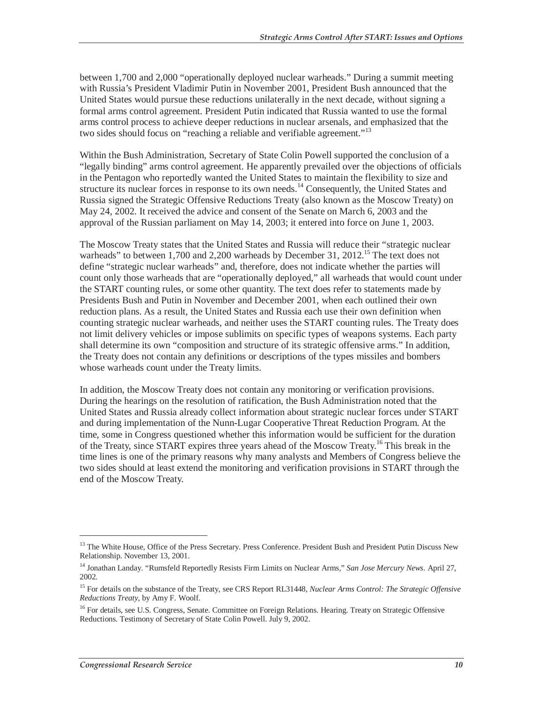between 1,700 and 2,000 "operationally deployed nuclear warheads." During a summit meeting with Russia's President Vladimir Putin in November 2001, President Bush announced that the United States would pursue these reductions unilaterally in the next decade, without signing a formal arms control agreement. President Putin indicated that Russia wanted to use the formal arms control process to achieve deeper reductions in nuclear arsenals, and emphasized that the two sides should focus on "reaching a reliable and verifiable agreement."<sup>13</sup>

Within the Bush Administration, Secretary of State Colin Powell supported the conclusion of a "legally binding" arms control agreement. He apparently prevailed over the objections of officials in the Pentagon who reportedly wanted the United States to maintain the flexibility to size and structure its nuclear forces in response to its own needs.<sup>14</sup> Consequently, the United States and Russia signed the Strategic Offensive Reductions Treaty (also known as the Moscow Treaty) on May 24, 2002. It received the advice and consent of the Senate on March 6, 2003 and the approval of the Russian parliament on May 14, 2003; it entered into force on June 1, 2003.

The Moscow Treaty states that the United States and Russia will reduce their "strategic nuclear warheads" to between 1,700 and 2,200 warheads by December 31, 2012.<sup>15</sup> The text does not define "strategic nuclear warheads" and, therefore, does not indicate whether the parties will count only those warheads that are "operationally deployed," all warheads that would count under the START counting rules, or some other quantity. The text does refer to statements made by Presidents Bush and Putin in November and December 2001, when each outlined their own reduction plans. As a result, the United States and Russia each use their own definition when counting strategic nuclear warheads, and neither uses the START counting rules. The Treaty does not limit delivery vehicles or impose sublimits on specific types of weapons systems. Each party shall determine its own "composition and structure of its strategic offensive arms." In addition, the Treaty does not contain any definitions or descriptions of the types missiles and bombers whose warheads count under the Treaty limits.

In addition, the Moscow Treaty does not contain any monitoring or verification provisions. During the hearings on the resolution of ratification, the Bush Administration noted that the United States and Russia already collect information about strategic nuclear forces under START and during implementation of the Nunn-Lugar Cooperative Threat Reduction Program. At the time, some in Congress questioned whether this information would be sufficient for the duration of the Treaty, since START expires three years ahead of the Moscow Treaty.16 This break in the time lines is one of the primary reasons why many analysts and Members of Congress believe the two sides should at least extend the monitoring and verification provisions in START through the end of the Moscow Treaty.

<sup>&</sup>lt;sup>13</sup> The White House, Office of the Press Secretary. Press Conference. President Bush and President Putin Discuss New Relationship. November 13, 2001.

<sup>14</sup> Jonathan Landay. "Rumsfeld Reportedly Resists Firm Limits on Nuclear Arms," *San Jose Mercury News*. April 27, 2002.

<sup>15</sup> For details on the substance of the Treaty, see CRS Report RL31448, *Nuclear Arms Control: The Strategic Offensive Reductions Treaty*, by Amy F. Woolf.

<sup>&</sup>lt;sup>16</sup> For details, see U.S. Congress, Senate. Committee on Foreign Relations. Hearing. Treaty on Strategic Offensive Reductions. Testimony of Secretary of State Colin Powell. July 9, 2002.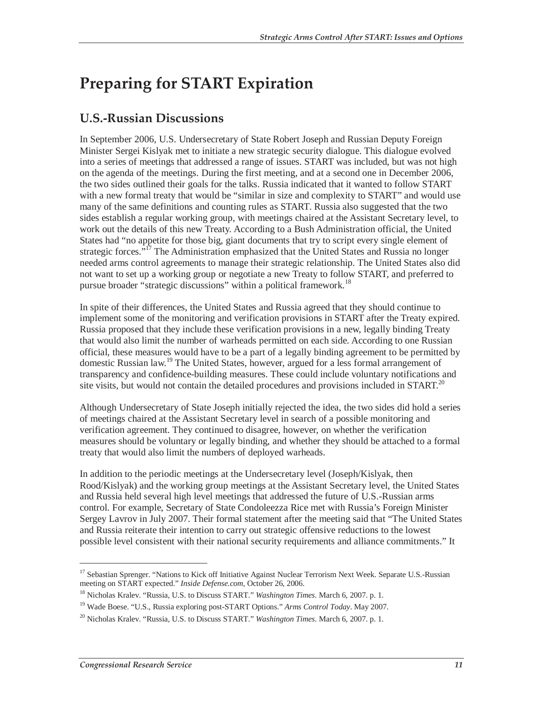## **Preparing for START Expiration**

## **U.S.-Russian Discussions**

In September 2006, U.S. Undersecretary of State Robert Joseph and Russian Deputy Foreign Minister Sergei Kislyak met to initiate a new strategic security dialogue. This dialogue evolved into a series of meetings that addressed a range of issues. START was included, but was not high on the agenda of the meetings. During the first meeting, and at a second one in December 2006, the two sides outlined their goals for the talks. Russia indicated that it wanted to follow START with a new formal treaty that would be "similar in size and complexity to START" and would use many of the same definitions and counting rules as START. Russia also suggested that the two sides establish a regular working group, with meetings chaired at the Assistant Secretary level, to work out the details of this new Treaty. According to a Bush Administration official, the United States had "no appetite for those big, giant documents that try to script every single element of strategic forces."<sup>17</sup> The Administration emphasized that the United States and Russia no longer needed arms control agreements to manage their strategic relationship. The United States also did not want to set up a working group or negotiate a new Treaty to follow START, and preferred to pursue broader "strategic discussions" within a political framework.<sup>18</sup>

In spite of their differences, the United States and Russia agreed that they should continue to implement some of the monitoring and verification provisions in START after the Treaty expired. Russia proposed that they include these verification provisions in a new, legally binding Treaty that would also limit the number of warheads permitted on each side. According to one Russian official, these measures would have to be a part of a legally binding agreement to be permitted by domestic Russian law.<sup>19</sup> The United States, however, argued for a less formal arrangement of transparency and confidence-building measures. These could include voluntary notifications and site visits, but would not contain the detailed procedures and provisions included in START.<sup>20</sup>

Although Undersecretary of State Joseph initially rejected the idea, the two sides did hold a series of meetings chaired at the Assistant Secretary level in search of a possible monitoring and verification agreement. They continued to disagree, however, on whether the verification measures should be voluntary or legally binding, and whether they should be attached to a formal treaty that would also limit the numbers of deployed warheads.

In addition to the periodic meetings at the Undersecretary level (Joseph/Kislyak, then Rood/Kislyak) and the working group meetings at the Assistant Secretary level, the United States and Russia held several high level meetings that addressed the future of U.S.-Russian arms control. For example, Secretary of State Condoleezza Rice met with Russia's Foreign Minister Sergey Lavrov in July 2007. Their formal statement after the meeting said that "The United States and Russia reiterate their intention to carry out strategic offensive reductions to the lowest possible level consistent with their national security requirements and alliance commitments." It

<sup>&</sup>lt;sup>17</sup> Sebastian Sprenger. "Nations to Kick off Initiative Against Nuclear Terrorism Next Week. Separate U.S.-Russian meeting on START expected." *Inside Defense.com*, October 26, 2006.

<sup>18</sup> Nicholas Kralev. "Russia, U.S. to Discuss START." *Washington Times*. March 6, 2007. p. 1.

<sup>19</sup> Wade Boese. "U.S., Russia exploring post-START Options." *Arms Control Today*. May 2007.

<sup>20</sup> Nicholas Kralev. "Russia, U.S. to Discuss START." *Washington Times*. March 6, 2007. p. 1.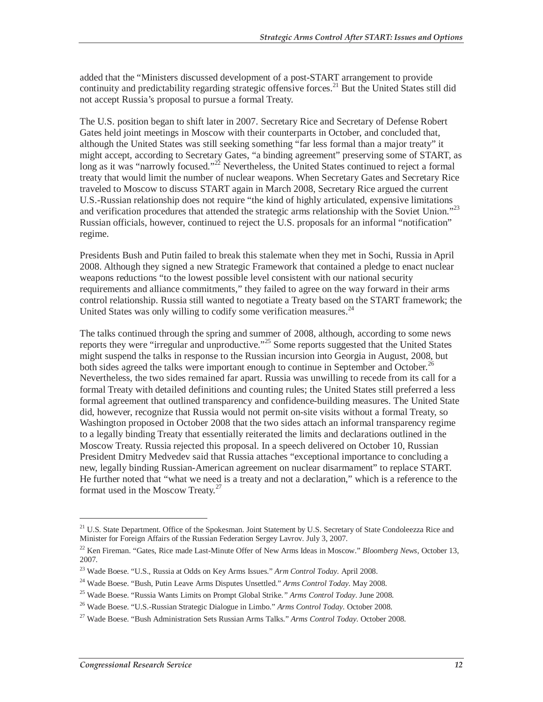added that the "Ministers discussed development of a post-START arrangement to provide continuity and predictability regarding strategic offensive forces.<sup>21</sup> But the United States still did not accept Russia's proposal to pursue a formal Treaty.

The U.S. position began to shift later in 2007. Secretary Rice and Secretary of Defense Robert Gates held joint meetings in Moscow with their counterparts in October, and concluded that, although the United States was still seeking something "far less formal than a major treaty" it might accept, according to Secretary Gates, "a binding agreement" preserving some of START, as long as it was "narrowly focused."<sup>22</sup> Nevertheless, the United States continued to reject a formal treaty that would limit the number of nuclear weapons. When Secretary Gates and Secretary Rice traveled to Moscow to discuss START again in March 2008, Secretary Rice argued the current U.S.-Russian relationship does not require "the kind of highly articulated, expensive limitations and verification procedures that attended the strategic arms relationship with the Soviet Union."<sup>23</sup> Russian officials, however, continued to reject the U.S. proposals for an informal "notification" regime.

Presidents Bush and Putin failed to break this stalemate when they met in Sochi, Russia in April 2008. Although they signed a new Strategic Framework that contained a pledge to enact nuclear weapons reductions "to the lowest possible level consistent with our national security requirements and alliance commitments," they failed to agree on the way forward in their arms control relationship. Russia still wanted to negotiate a Treaty based on the START framework; the United States was only willing to codify some verification measures.<sup>24</sup>

The talks continued through the spring and summer of 2008, although, according to some news reports they were "irregular and unproductive."<sup>25</sup> Some reports suggested that the United States might suspend the talks in response to the Russian incursion into Georgia in August, 2008, but both sides agreed the talks were important enough to continue in September and October.<sup>26</sup> Nevertheless, the two sides remained far apart. Russia was unwilling to recede from its call for a formal Treaty with detailed definitions and counting rules; the United States still preferred a less formal agreement that outlined transparency and confidence-building measures. The United State did, however, recognize that Russia would not permit on-site visits without a formal Treaty, so Washington proposed in October 2008 that the two sides attach an informal transparency regime to a legally binding Treaty that essentially reiterated the limits and declarations outlined in the Moscow Treaty. Russia rejected this proposal. In a speech delivered on October 10, Russian President Dmitry Medvedev said that Russia attaches "exceptional importance to concluding a new, legally binding Russian-American agreement on nuclear disarmament" to replace START. He further noted that "what we need is a treaty and not a declaration," which is a reference to the format used in the Moscow Treaty.<sup>27</sup>

<sup>&</sup>lt;sup>21</sup> U.S. State Department. Office of the Spokesman. Joint Statement by U.S. Secretary of State Condoleezza Rice and Minister for Foreign Affairs of the Russian Federation Sergey Lavrov. July 3, 2007.

<sup>22</sup> Ken Fireman. "Gates, Rice made Last-Minute Offer of New Arms Ideas in Moscow." *Bloomberg News*, October 13, 2007.

<sup>23</sup> Wade Boese. "U.S., Russia at Odds on Key Arms Issues." *Arm Control Today*. April 2008.

<sup>24</sup> Wade Boese. "Bush, Putin Leave Arms Disputes Unsettled." *Arms Control Today*. May 2008.

<sup>25</sup> Wade Boese. "Russia Wants Limits on Prompt Global Strike.*" Arms Control Today*. June 2008.

<sup>26</sup> Wade Boese. "U.S.-Russian Strategic Dialogue in Limbo." *Arms Control Today*. October 2008.

<sup>27</sup> Wade Boese. "Bush Administration Sets Russian Arms Talks." *Arms Control Today*. October 2008.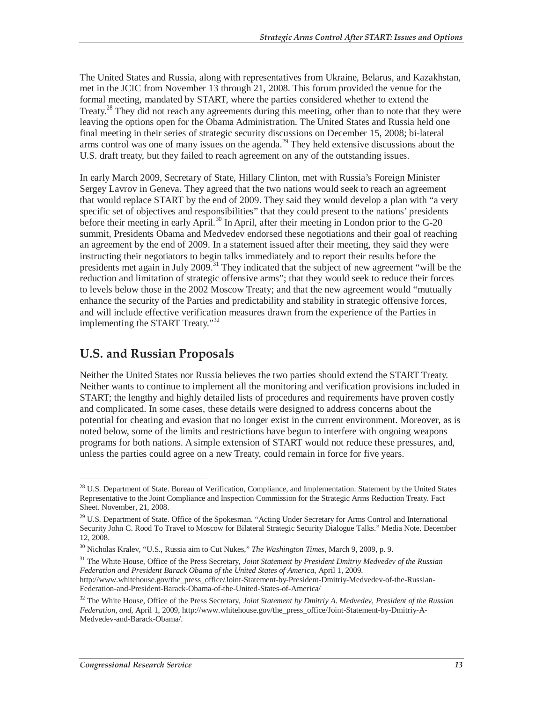The United States and Russia, along with representatives from Ukraine, Belarus, and Kazakhstan, met in the JCIC from November 13 through 21, 2008. This forum provided the venue for the formal meeting, mandated by START, where the parties considered whether to extend the Treaty.<sup>28</sup> They did not reach any agreements during this meeting, other than to note that they were leaving the options open for the Obama Administration. The United States and Russia held one final meeting in their series of strategic security discussions on December 15, 2008; bi-lateral arms control was one of many issues on the agenda.<sup>29</sup> They held extensive discussions about the U.S. draft treaty, but they failed to reach agreement on any of the outstanding issues.

In early March 2009, Secretary of State, Hillary Clinton, met with Russia's Foreign Minister Sergey Lavrov in Geneva. They agreed that the two nations would seek to reach an agreement that would replace START by the end of 2009. They said they would develop a plan with "a very specific set of objectives and responsibilities" that they could present to the nations' presidents before their meeting in early April.<sup>30</sup> In April, after their meeting in London prior to the G-20 summit, Presidents Obama and Medvedev endorsed these negotiations and their goal of reaching an agreement by the end of 2009. In a statement issued after their meeting, they said they were instructing their negotiators to begin talks immediately and to report their results before the presidents met again in July 2009.<sup>31</sup> They indicated that the subject of new agreement "will be the reduction and limitation of strategic offensive arms"; that they would seek to reduce their forces to levels below those in the 2002 Moscow Treaty; and that the new agreement would "mutually enhance the security of the Parties and predictability and stability in strategic offensive forces, and will include effective verification measures drawn from the experience of the Parties in implementing the START Treaty."<sup>32</sup>

### **U.S. and Russian Proposals**

Neither the United States nor Russia believes the two parties should extend the START Treaty. Neither wants to continue to implement all the monitoring and verification provisions included in START; the lengthy and highly detailed lists of procedures and requirements have proven costly and complicated. In some cases, these details were designed to address concerns about the potential for cheating and evasion that no longer exist in the current environment. Moreover, as is noted below, some of the limits and restrictions have begun to interfere with ongoing weapons programs for both nations. A simple extension of START would not reduce these pressures, and, unless the parties could agree on a new Treaty, could remain in force for five years.

31 The White House, Office of the Press Secretary, *Joint Statement by President Dmitriy Medvedev of the Russian Federation and President Barack Obama of the United States of America*, April 1, 2009.

<sup>&</sup>lt;sup>28</sup> U.S. Department of State. Bureau of Verification, Compliance, and Implementation. Statement by the United States Representative to the Joint Compliance and Inspection Commission for the Strategic Arms Reduction Treaty. Fact Sheet. November, 21, 2008.

<sup>&</sup>lt;sup>29</sup> U.S. Department of State. Office of the Spokesman. "Acting Under Secretary for Arms Control and International Security John C. Rood To Travel to Moscow for Bilateral Strategic Security Dialogue Talks." Media Note. December 12, 2008.

<sup>30</sup> Nicholas Kralev, "U.S., Russia aim to Cut Nukes," *The Washington Times*, March 9, 2009, p. 9.

http://www.whitehouse.gov/the\_press\_office/Joint-Statement-by-President-Dmitriy-Medvedev-of-the-Russian-Federation-and-President-Barack-Obama-of-the-United-States-of-America/

<sup>&</sup>lt;sup>32</sup> The White House, Office of the Press Secretary, *Joint Statement by Dmitriy A. Medvedev, President of the Russian Federation, and*, April 1, 2009, http://www.whitehouse.gov/the\_press\_office/Joint-Statement-by-Dmitriy-A-Medvedev-and-Barack-Obama/.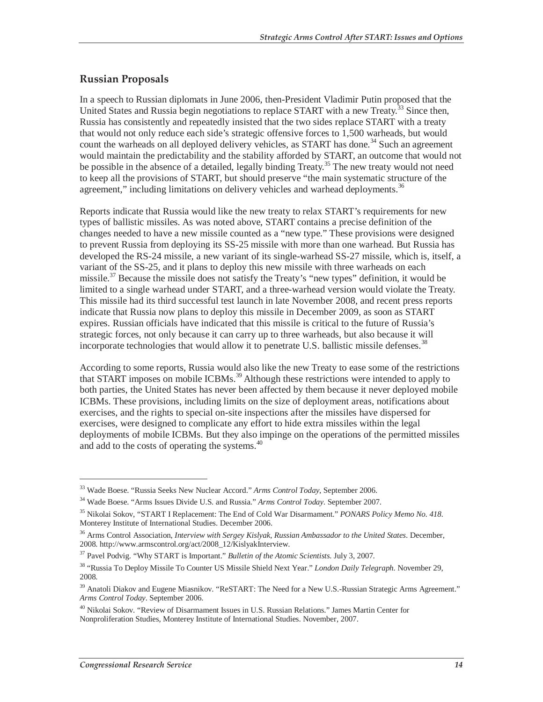### **Russian Proposals**

In a speech to Russian diplomats in June 2006, then-President Vladimir Putin proposed that the United States and Russia begin negotiations to replace START with a new Treaty.<sup>33</sup> Since then, Russia has consistently and repeatedly insisted that the two sides replace START with a treaty that would not only reduce each side's strategic offensive forces to 1,500 warheads, but would count the warheads on all deployed delivery vehicles, as START has done.<sup>34</sup> Such an agreement would maintain the predictability and the stability afforded by START, an outcome that would not be possible in the absence of a detailed, legally binding Treaty.<sup>35</sup> The new treaty would not need to keep all the provisions of START, but should preserve "the main systematic structure of the agreement," including limitations on delivery vehicles and warhead deployments.<sup>36</sup>

Reports indicate that Russia would like the new treaty to relax START's requirements for new types of ballistic missiles. As was noted above, START contains a precise definition of the changes needed to have a new missile counted as a "new type." These provisions were designed to prevent Russia from deploying its SS-25 missile with more than one warhead. But Russia has developed the RS-24 missile, a new variant of its single-warhead SS-27 missile, which is, itself, a variant of the SS-25, and it plans to deploy this new missile with three warheads on each missile.<sup>37</sup> Because the missile does not satisfy the Treaty's "new types" definition, it would be limited to a single warhead under START, and a three-warhead version would violate the Treaty. This missile had its third successful test launch in late November 2008, and recent press reports indicate that Russia now plans to deploy this missile in December 2009, as soon as START expires. Russian officials have indicated that this missile is critical to the future of Russia's strategic forces, not only because it can carry up to three warheads, but also because it will incorporate technologies that would allow it to penetrate U.S. ballistic missile defenses.<sup>38</sup>

According to some reports, Russia would also like the new Treaty to ease some of the restrictions that START imposes on mobile ICBMs.<sup>39</sup> Although these restrictions were intended to apply to both parties, the United States has never been affected by them because it never deployed mobile ICBMs. These provisions, including limits on the size of deployment areas, notifications about exercises, and the rights to special on-site inspections after the missiles have dispersed for exercises, were designed to complicate any effort to hide extra missiles within the legal deployments of mobile ICBMs. But they also impinge on the operations of the permitted missiles and add to the costs of operating the systems.<sup>40</sup>

<sup>33</sup> Wade Boese. "Russia Seeks New Nuclear Accord." *Arms Control Today*, September 2006.

<sup>34</sup> Wade Boese. "Arms Issues Divide U.S. and Russia." *Arms Control Today*. September 2007.

<sup>35</sup> Nikolai Sokov, "START I Replacement: The End of Cold War Disarmament." *PONARS Policy Memo No. 418.* Monterey Institute of International Studies. December 2006.

<sup>36</sup> Arms Control Association, *Interview with Sergey Kislyak, Russian Ambassador to the United States*. December, 2008. http://www.armscontrol.org/act/2008\_12/KislyakInterview.

<sup>37</sup> Pavel Podvig. "Why START is Important." *Bulletin of the Atomic Scientists*. July 3, 2007.

<sup>38 &</sup>quot;Russia To Deploy Missile To Counter US Missile Shield Next Year." *London Daily Telegraph.* November 29, 2008.

<sup>&</sup>lt;sup>39</sup> Anatoli Diakov and Eugene Miasnikov. "ReSTART: The Need for a New U.S.-Russian Strategic Arms Agreement." *Arms Control Today*. September 2006.

<sup>40</sup> Nikolai Sokov. "Review of Disarmament Issues in U.S. Russian Relations." James Martin Center for Nonproliferation Studies, Monterey Institute of International Studies. November, 2007.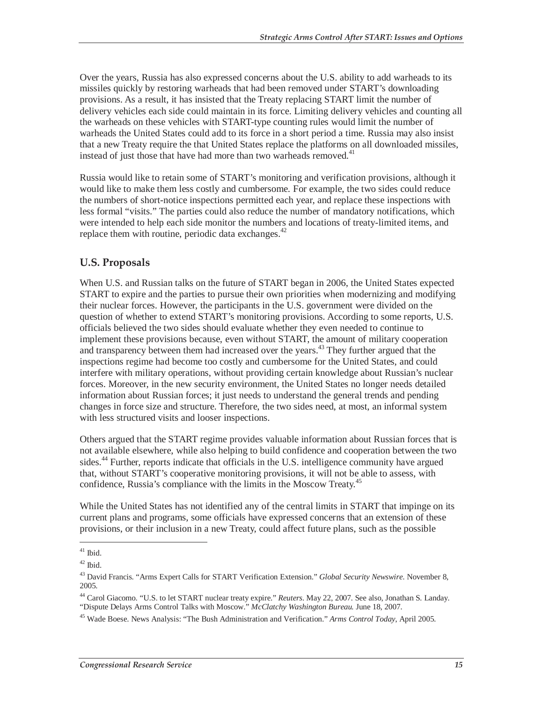Over the years, Russia has also expressed concerns about the U.S. ability to add warheads to its missiles quickly by restoring warheads that had been removed under START's downloading provisions. As a result, it has insisted that the Treaty replacing START limit the number of delivery vehicles each side could maintain in its force. Limiting delivery vehicles and counting all the warheads on these vehicles with START-type counting rules would limit the number of warheads the United States could add to its force in a short period a time. Russia may also insist that a new Treaty require the that United States replace the platforms on all downloaded missiles, instead of just those that have had more than two warheads removed. $41$ 

Russia would like to retain some of START's monitoring and verification provisions, although it would like to make them less costly and cumbersome. For example, the two sides could reduce the numbers of short-notice inspections permitted each year, and replace these inspections with less formal "visits." The parties could also reduce the number of mandatory notifications, which were intended to help each side monitor the numbers and locations of treaty-limited items, and replace them with routine, periodic data exchanges. $42$ 

### **U.S. Proposals**

When U.S. and Russian talks on the future of START began in 2006, the United States expected START to expire and the parties to pursue their own priorities when modernizing and modifying their nuclear forces. However, the participants in the U.S. government were divided on the question of whether to extend START's monitoring provisions. According to some reports, U.S. officials believed the two sides should evaluate whether they even needed to continue to implement these provisions because, even without START, the amount of military cooperation and transparency between them had increased over the years.<sup>43</sup> They further argued that the inspections regime had become too costly and cumbersome for the United States, and could interfere with military operations, without providing certain knowledge about Russian's nuclear forces. Moreover, in the new security environment, the United States no longer needs detailed information about Russian forces; it just needs to understand the general trends and pending changes in force size and structure. Therefore, the two sides need, at most, an informal system with less structured visits and looser inspections.

Others argued that the START regime provides valuable information about Russian forces that is not available elsewhere, while also helping to build confidence and cooperation between the two sides.<sup>44</sup> Further, reports indicate that officials in the U.S. intelligence community have argued that, without START's cooperative monitoring provisions, it will not be able to assess, with confidence, Russia's compliance with the limits in the Moscow Treaty.<sup>45</sup>

While the United States has not identified any of the central limits in START that impinge on its current plans and programs, some officials have expressed concerns that an extension of these provisions, or their inclusion in a new Treaty, could affect future plans, such as the possible

 $41$  Ibid.

 $42$  Ibid.

<sup>43</sup> David Francis. "Arms Expert Calls for START Verification Extension." *Global Security Newswire*. November 8, 2005.

<sup>44</sup> Carol Giacomo. "U.S. to let START nuclear treaty expire." *Reuters*. May 22, 2007. See also, Jonathan S. Landay. "Dispute Delays Arms Control Talks with Moscow." *McClatchy Washington Bureau.* June 18, 2007.

<sup>45</sup> Wade Boese. News Analysis: "The Bush Administration and Verification." *Arms Control Today*, April 2005.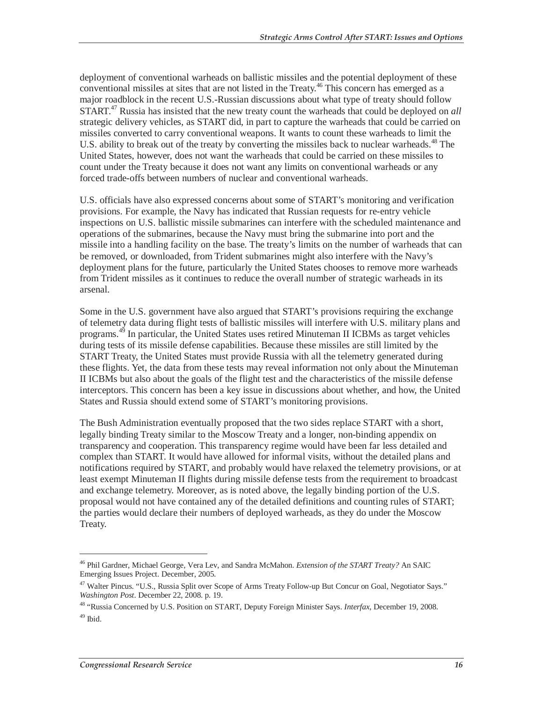deployment of conventional warheads on ballistic missiles and the potential deployment of these conventional missiles at sites that are not listed in the Treaty.<sup>46</sup> This concern has emerged as a major roadblock in the recent U.S.-Russian discussions about what type of treaty should follow START.47 Russia has insisted that the new treaty count the warheads that could be deployed on *all* strategic delivery vehicles, as START did, in part to capture the warheads that could be carried on missiles converted to carry conventional weapons. It wants to count these warheads to limit the U.S. ability to break out of the treaty by converting the missiles back to nuclear warheads.<sup>48</sup> The United States, however, does not want the warheads that could be carried on these missiles to count under the Treaty because it does not want any limits on conventional warheads or any forced trade-offs between numbers of nuclear and conventional warheads.

U.S. officials have also expressed concerns about some of START's monitoring and verification provisions. For example, the Navy has indicated that Russian requests for re-entry vehicle inspections on U.S. ballistic missile submarines can interfere with the scheduled maintenance and operations of the submarines, because the Navy must bring the submarine into port and the missile into a handling facility on the base. The treaty's limits on the number of warheads that can be removed, or downloaded, from Trident submarines might also interfere with the Navy's deployment plans for the future, particularly the United States chooses to remove more warheads from Trident missiles as it continues to reduce the overall number of strategic warheads in its arsenal.

Some in the U.S. government have also argued that START's provisions requiring the exchange of telemetry data during flight tests of ballistic missiles will interfere with U.S. military plans and programs.49 In particular, the United States uses retired Minuteman II ICBMs as target vehicles during tests of its missile defense capabilities. Because these missiles are still limited by the START Treaty, the United States must provide Russia with all the telemetry generated during these flights. Yet, the data from these tests may reveal information not only about the Minuteman II ICBMs but also about the goals of the flight test and the characteristics of the missile defense interceptors. This concern has been a key issue in discussions about whether, and how, the United States and Russia should extend some of START's monitoring provisions.

The Bush Administration eventually proposed that the two sides replace START with a short, legally binding Treaty similar to the Moscow Treaty and a longer, non-binding appendix on transparency and cooperation. This transparency regime would have been far less detailed and complex than START. It would have allowed for informal visits, without the detailed plans and notifications required by START, and probably would have relaxed the telemetry provisions, or at least exempt Minuteman II flights during missile defense tests from the requirement to broadcast and exchange telemetry. Moreover, as is noted above, the legally binding portion of the U.S. proposal would not have contained any of the detailed definitions and counting rules of START; the parties would declare their numbers of deployed warheads, as they do under the Moscow Treaty.

<sup>46</sup> Phil Gardner, Michael George, Vera Lev, and Sandra McMahon. *Extension of the START Treaty?* An SAIC Emerging Issues Project. December, 2005.

<sup>&</sup>lt;sup>47</sup> Walter Pincus. "U.S., Russia Split over Scope of Arms Treaty Follow-up But Concur on Goal, Negotiator Says."<br>Washington Post. December 22, 2008. p. 19.

*Washington Post*. December 22, 2008. p. 19. 48 "Russia Concerned by U.S. Position on START, Deputy Foreign Minister Says. *Interfax*, December 19, 2008.  $49$  Ibid.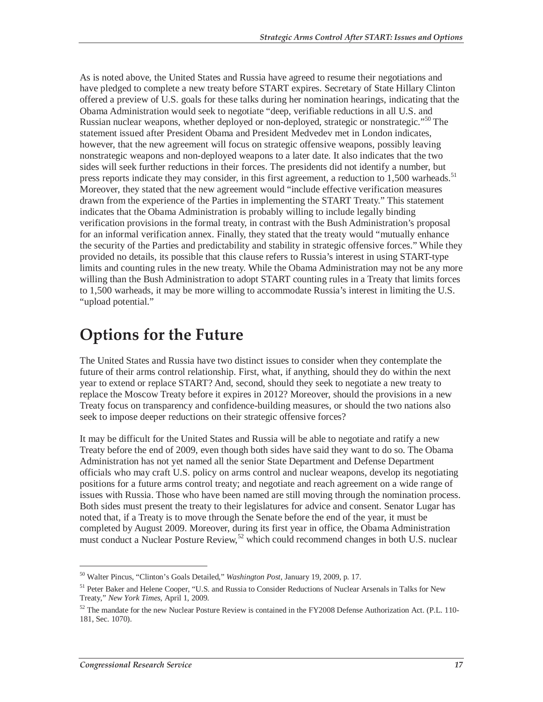As is noted above, the United States and Russia have agreed to resume their negotiations and have pledged to complete a new treaty before START expires. Secretary of State Hillary Clinton offered a preview of U.S. goals for these talks during her nomination hearings, indicating that the Obama Administration would seek to negotiate "deep, verifiable reductions in all U.S. and Russian nuclear weapons, whether deployed or non-deployed, strategic or nonstrategic."<sup>50</sup> The statement issued after President Obama and President Medvedev met in London indicates, however, that the new agreement will focus on strategic offensive weapons, possibly leaving nonstrategic weapons and non-deployed weapons to a later date. It also indicates that the two sides will seek further reductions in their forces. The presidents did not identify a number, but press reports indicate they may consider, in this first agreement, a reduction to 1,500 warheads.<sup>51</sup> Moreover, they stated that the new agreement would "include effective verification measures drawn from the experience of the Parties in implementing the START Treaty." This statement indicates that the Obama Administration is probably willing to include legally binding verification provisions in the formal treaty, in contrast with the Bush Administration's proposal for an informal verification annex. Finally, they stated that the treaty would "mutually enhance the security of the Parties and predictability and stability in strategic offensive forces." While they provided no details, its possible that this clause refers to Russia's interest in using START-type limits and counting rules in the new treaty. While the Obama Administration may not be any more willing than the Bush Administration to adopt START counting rules in a Treaty that limits forces to 1,500 warheads, it may be more willing to accommodate Russia's interest in limiting the U.S. "upload potential."

## **Options for the Future**

The United States and Russia have two distinct issues to consider when they contemplate the future of their arms control relationship. First, what, if anything, should they do within the next year to extend or replace START? And, second, should they seek to negotiate a new treaty to replace the Moscow Treaty before it expires in 2012? Moreover, should the provisions in a new Treaty focus on transparency and confidence-building measures, or should the two nations also seek to impose deeper reductions on their strategic offensive forces?

It may be difficult for the United States and Russia will be able to negotiate and ratify a new Treaty before the end of 2009, even though both sides have said they want to do so. The Obama Administration has not yet named all the senior State Department and Defense Department officials who may craft U.S. policy on arms control and nuclear weapons, develop its negotiating positions for a future arms control treaty; and negotiate and reach agreement on a wide range of issues with Russia. Those who have been named are still moving through the nomination process. Both sides must present the treaty to their legislatures for advice and consent. Senator Lugar has noted that, if a Treaty is to move through the Senate before the end of the year, it must be completed by August 2009. Moreover, during its first year in office, the Obama Administration must conduct a Nuclear Posture Review,<sup>52</sup> which could recommend changes in both U.S. nuclear

<sup>50</sup> Walter Pincus, "Clinton's Goals Detailed," *Washington Post*, January 19, 2009, p. 17.

<sup>51</sup> Peter Baker and Helene Cooper, "U.S. and Russia to Consider Reductions of Nuclear Arsenals in Talks for New Treaty," *New York Times*, April 1, 2009.

<sup>52</sup> The mandate for the new Nuclear Posture Review is contained in the FY2008 Defense Authorization Act. (P.L. 110- 181, Sec. 1070).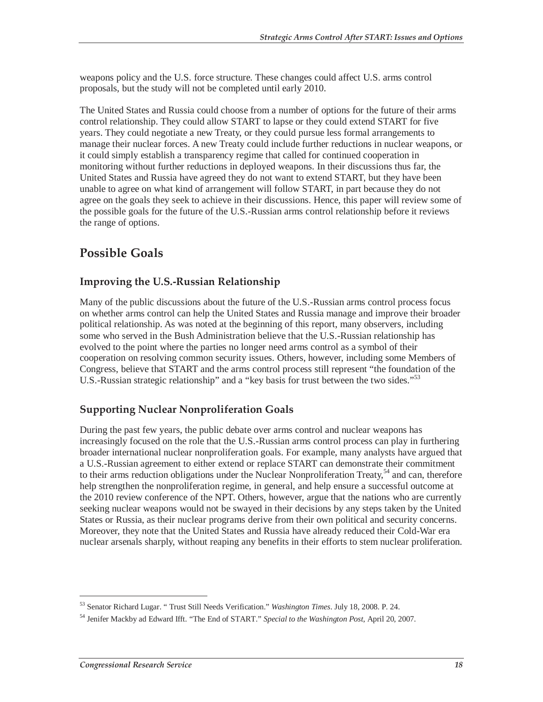weapons policy and the U.S. force structure. These changes could affect U.S. arms control proposals, but the study will not be completed until early 2010.

The United States and Russia could choose from a number of options for the future of their arms control relationship. They could allow START to lapse or they could extend START for five years. They could negotiate a new Treaty, or they could pursue less formal arrangements to manage their nuclear forces. A new Treaty could include further reductions in nuclear weapons, or it could simply establish a transparency regime that called for continued cooperation in monitoring without further reductions in deployed weapons. In their discussions thus far, the United States and Russia have agreed they do not want to extend START, but they have been unable to agree on what kind of arrangement will follow START, in part because they do not agree on the goals they seek to achieve in their discussions. Hence, this paper will review some of the possible goals for the future of the U.S.-Russian arms control relationship before it reviews the range of options.

## **Possible Goals**

### **Improving the U.S.-Russian Relationship**

Many of the public discussions about the future of the U.S.-Russian arms control process focus on whether arms control can help the United States and Russia manage and improve their broader political relationship. As was noted at the beginning of this report, many observers, including some who served in the Bush Administration believe that the U.S.-Russian relationship has evolved to the point where the parties no longer need arms control as a symbol of their cooperation on resolving common security issues. Others, however, including some Members of Congress, believe that START and the arms control process still represent "the foundation of the U.S.-Russian strategic relationship" and a "key basis for trust between the two sides."<sup>53</sup>

### **Supporting Nuclear Nonproliferation Goals**

During the past few years, the public debate over arms control and nuclear weapons has increasingly focused on the role that the U.S.-Russian arms control process can play in furthering broader international nuclear nonproliferation goals. For example, many analysts have argued that a U.S.-Russian agreement to either extend or replace START can demonstrate their commitment to their arms reduction obligations under the Nuclear Nonproliferation Treaty,<sup>54</sup> and can, therefore help strengthen the nonproliferation regime, in general, and help ensure a successful outcome at the 2010 review conference of the NPT. Others, however, argue that the nations who are currently seeking nuclear weapons would not be swayed in their decisions by any steps taken by the United States or Russia, as their nuclear programs derive from their own political and security concerns. Moreover, they note that the United States and Russia have already reduced their Cold-War era nuclear arsenals sharply, without reaping any benefits in their efforts to stem nuclear proliferation.

<sup>53</sup> Senator Richard Lugar. " Trust Still Needs Verification." *Washington Times*. July 18, 2008. P. 24.

<sup>54</sup> Jenifer Mackby ad Edward Ifft. "The End of START." *Special to the Washington Post*, April 20, 2007.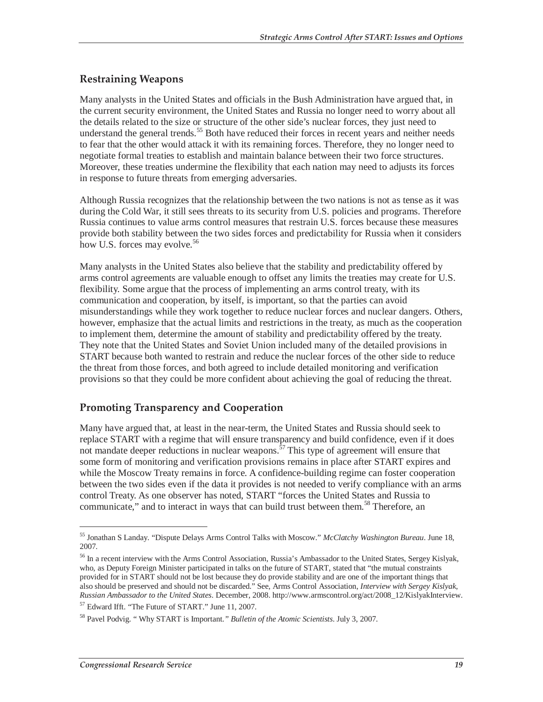### **Restraining Weapons**

Many analysts in the United States and officials in the Bush Administration have argued that, in the current security environment, the United States and Russia no longer need to worry about all the details related to the size or structure of the other side's nuclear forces, they just need to understand the general trends.<sup>55</sup> Both have reduced their forces in recent years and neither needs to fear that the other would attack it with its remaining forces. Therefore, they no longer need to negotiate formal treaties to establish and maintain balance between their two force structures. Moreover, these treaties undermine the flexibility that each nation may need to adjusts its forces in response to future threats from emerging adversaries.

Although Russia recognizes that the relationship between the two nations is not as tense as it was during the Cold War, it still sees threats to its security from U.S. policies and programs. Therefore Russia continues to value arms control measures that restrain U.S. forces because these measures provide both stability between the two sides forces and predictability for Russia when it considers how U.S. forces may evolve.<sup>56</sup>

Many analysts in the United States also believe that the stability and predictability offered by arms control agreements are valuable enough to offset any limits the treaties may create for U.S. flexibility. Some argue that the process of implementing an arms control treaty, with its communication and cooperation, by itself, is important, so that the parties can avoid misunderstandings while they work together to reduce nuclear forces and nuclear dangers. Others, however, emphasize that the actual limits and restrictions in the treaty, as much as the cooperation to implement them, determine the amount of stability and predictability offered by the treaty. They note that the United States and Soviet Union included many of the detailed provisions in START because both wanted to restrain and reduce the nuclear forces of the other side to reduce the threat from those forces, and both agreed to include detailed monitoring and verification provisions so that they could be more confident about achieving the goal of reducing the threat.

### **Promoting Transparency and Cooperation**

Many have argued that, at least in the near-term, the United States and Russia should seek to replace START with a regime that will ensure transparency and build confidence, even if it does not mandate deeper reductions in nuclear weapons.<sup> $57$ </sup> This type of agreement will ensure that some form of monitoring and verification provisions remains in place after START expires and while the Moscow Treaty remains in force. A confidence-building regime can foster cooperation between the two sides even if the data it provides is not needed to verify compliance with an arms control Treaty. As one observer has noted, START "forces the United States and Russia to communicate," and to interact in ways that can build trust between them.<sup>58</sup> Therefore, an

<sup>55</sup> Jonathan S Landay. "Dispute Delays Arms Control Talks with Moscow." *McClatchy Washington Bureau*. June 18, 2007.

<sup>56</sup> In a recent interview with the Arms Control Association, Russia's Ambassador to the United States, Sergey Kislyak, who, as Deputy Foreign Minister participated in talks on the future of START, stated that "the mutual constraints provided for in START should not be lost because they do provide stability and are one of the important things that also should be preserved and should not be discarded." See, Arms Control Association, *Interview with Sergey Kislyak, Russian Ambassador to the United States*. December, 2008. http://www.armscontrol.org/act/2008\_12/KislyakInterview. 57 Edward Ifft. "The Future of START." June 11, 2007.

<sup>58</sup> Pavel Podvig. " Why START is Important.*" Bulletin of the Atomic Scientists*. July 3, 2007.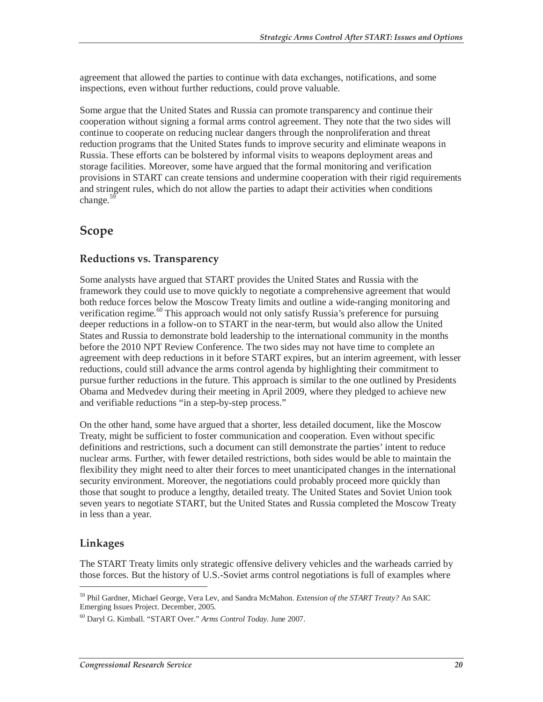agreement that allowed the parties to continue with data exchanges, notifications, and some inspections, even without further reductions, could prove valuable.

Some argue that the United States and Russia can promote transparency and continue their cooperation without signing a formal arms control agreement. They note that the two sides will continue to cooperate on reducing nuclear dangers through the nonproliferation and threat reduction programs that the United States funds to improve security and eliminate weapons in Russia. These efforts can be bolstered by informal visits to weapons deployment areas and storage facilities. Moreover, some have argued that the formal monitoring and verification provisions in START can create tensions and undermine cooperation with their rigid requirements and stringent rules, which do not allow the parties to adapt their activities when conditions change. $59$ 

### **Scope**

### **Reductions vs. Transparency**

Some analysts have argued that START provides the United States and Russia with the framework they could use to move quickly to negotiate a comprehensive agreement that would both reduce forces below the Moscow Treaty limits and outline a wide-ranging monitoring and verification regime.<sup>60</sup> This approach would not only satisfy Russia's preference for pursuing deeper reductions in a follow-on to START in the near-term, but would also allow the United States and Russia to demonstrate bold leadership to the international community in the months before the 2010 NPT Review Conference. The two sides may not have time to complete an agreement with deep reductions in it before START expires, but an interim agreement, with lesser reductions, could still advance the arms control agenda by highlighting their commitment to pursue further reductions in the future. This approach is similar to the one outlined by Presidents Obama and Medvedev during their meeting in April 2009, where they pledged to achieve new and verifiable reductions "in a step-by-step process."

On the other hand, some have argued that a shorter, less detailed document, like the Moscow Treaty, might be sufficient to foster communication and cooperation. Even without specific definitions and restrictions, such a document can still demonstrate the parties' intent to reduce nuclear arms. Further, with fewer detailed restrictions, both sides would be able to maintain the flexibility they might need to alter their forces to meet unanticipated changes in the international security environment. Moreover, the negotiations could probably proceed more quickly than those that sought to produce a lengthy, detailed treaty. The United States and Soviet Union took seven years to negotiate START, but the United States and Russia completed the Moscow Treaty in less than a year.

### **Linkages**

-

The START Treaty limits only strategic offensive delivery vehicles and the warheads carried by those forces. But the history of U.S.-Soviet arms control negotiations is full of examples where

<sup>59</sup> Phil Gardner, Michael George, Vera Lev, and Sandra McMahon. *Extension of the START Treaty?* An SAIC Emerging Issues Project. December, 2005.

<sup>60</sup> Daryl G. Kimball. "START Over." *Arms Control Today*. June 2007.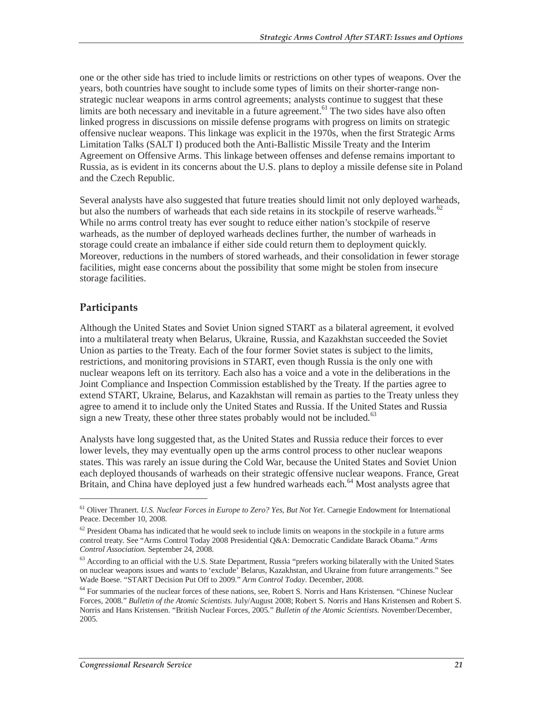one or the other side has tried to include limits or restrictions on other types of weapons. Over the years, both countries have sought to include some types of limits on their shorter-range nonstrategic nuclear weapons in arms control agreements; analysts continue to suggest that these limits are both necessary and inevitable in a future agreement.<sup> $61$ </sup> The two sides have also often linked progress in discussions on missile defense programs with progress on limits on strategic offensive nuclear weapons. This linkage was explicit in the 1970s, when the first Strategic Arms Limitation Talks (SALT I) produced both the Anti-Ballistic Missile Treaty and the Interim Agreement on Offensive Arms. This linkage between offenses and defense remains important to Russia, as is evident in its concerns about the U.S. plans to deploy a missile defense site in Poland and the Czech Republic.

Several analysts have also suggested that future treaties should limit not only deployed warheads, but also the numbers of warheads that each side retains in its stockpile of reserve warheads. $62$ While no arms control treaty has ever sought to reduce either nation's stockpile of reserve warheads, as the number of deployed warheads declines further, the number of warheads in storage could create an imbalance if either side could return them to deployment quickly. Moreover, reductions in the numbers of stored warheads, and their consolidation in fewer storage facilities, might ease concerns about the possibility that some might be stolen from insecure storage facilities.

### **Participants**

<u>.</u>

Although the United States and Soviet Union signed START as a bilateral agreement, it evolved into a multilateral treaty when Belarus, Ukraine, Russia, and Kazakhstan succeeded the Soviet Union as parties to the Treaty. Each of the four former Soviet states is subject to the limits, restrictions, and monitoring provisions in START, even though Russia is the only one with nuclear weapons left on its territory. Each also has a voice and a vote in the deliberations in the Joint Compliance and Inspection Commission established by the Treaty. If the parties agree to extend START, Ukraine, Belarus, and Kazakhstan will remain as parties to the Treaty unless they agree to amend it to include only the United States and Russia. If the United States and Russia sign a new Treaty, these other three states probably would not be included. $63$ 

Analysts have long suggested that, as the United States and Russia reduce their forces to ever lower levels, they may eventually open up the arms control process to other nuclear weapons states. This was rarely an issue during the Cold War, because the United States and Soviet Union each deployed thousands of warheads on their strategic offensive nuclear weapons. France, Great Britain, and China have deployed just a few hundred warheads each.<sup>64</sup> Most analysts agree that

<sup>61</sup> Oliver Thranert. *U.S. Nuclear Forces in Europe to Zero? Yes, But Not Yet*. Carnegie Endowment for International Peace. December 10, 2008.

 $62$  President Obama has indicated that he would seek to include limits on weapons in the stockpile in a future arms control treaty. See "Arms Control Today 2008 Presidential Q&A: Democratic Candidate Barack Obama." *Arms Control Association*. September 24, 2008.

<sup>&</sup>lt;sup>63</sup> According to an official with the U.S. State Department, Russia "prefers working bilaterally with the United States on nuclear weapons issues and wants to 'exclude' Belarus, Kazakhstan, and Ukraine from future arrangements." See Wade Boese. "START Decision Put Off to 2009." *Arm Control Today*. December, 2008.

<sup>&</sup>lt;sup>64</sup> For summaries of the nuclear forces of these nations, see, Robert S. Norris and Hans Kristensen. "Chinese Nuclear Forces, 2008." *Bulletin of the Atomic Scientists*. July/August 2008; Robert S. Norris and Hans Kristensen and Robert S. Norris and Hans Kristensen. "British Nuclear Forces, 2005." *Bulletin of the Atomic Scientists*. November/December, 2005.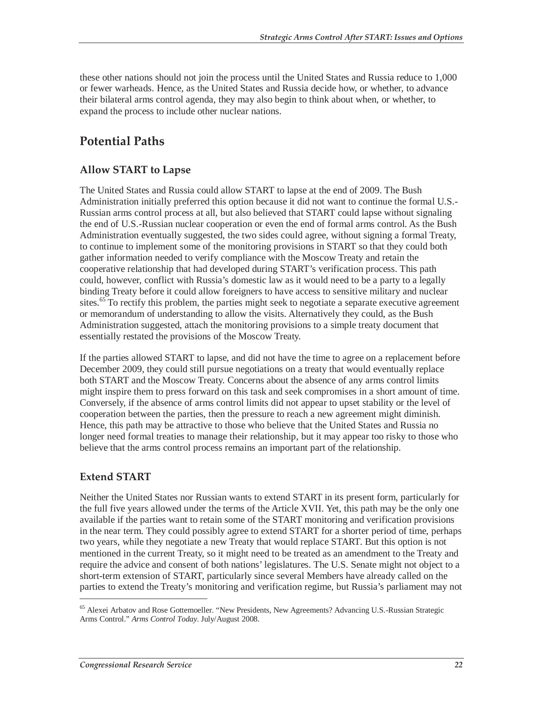these other nations should not join the process until the United States and Russia reduce to 1,000 or fewer warheads. Hence, as the United States and Russia decide how, or whether, to advance their bilateral arms control agenda, they may also begin to think about when, or whether, to expand the process to include other nuclear nations.

## **Potential Paths**

### **Allow START to Lapse**

The United States and Russia could allow START to lapse at the end of 2009. The Bush Administration initially preferred this option because it did not want to continue the formal U.S.- Russian arms control process at all, but also believed that START could lapse without signaling the end of U.S.-Russian nuclear cooperation or even the end of formal arms control. As the Bush Administration eventually suggested, the two sides could agree, without signing a formal Treaty, to continue to implement some of the monitoring provisions in START so that they could both gather information needed to verify compliance with the Moscow Treaty and retain the cooperative relationship that had developed during START's verification process. This path could, however, conflict with Russia's domestic law as it would need to be a party to a legally binding Treaty before it could allow foreigners to have access to sensitive military and nuclear sites.<sup>65</sup> To rectify this problem, the parties might seek to negotiate a separate executive agreement or memorandum of understanding to allow the visits. Alternatively they could, as the Bush Administration suggested, attach the monitoring provisions to a simple treaty document that essentially restated the provisions of the Moscow Treaty.

If the parties allowed START to lapse, and did not have the time to agree on a replacement before December 2009, they could still pursue negotiations on a treaty that would eventually replace both START and the Moscow Treaty. Concerns about the absence of any arms control limits might inspire them to press forward on this task and seek compromises in a short amount of time. Conversely, if the absence of arms control limits did not appear to upset stability or the level of cooperation between the parties, then the pressure to reach a new agreement might diminish. Hence, this path may be attractive to those who believe that the United States and Russia no longer need formal treaties to manage their relationship, but it may appear too risky to those who believe that the arms control process remains an important part of the relationship.

### **Extend START**

-

Neither the United States nor Russian wants to extend START in its present form, particularly for the full five years allowed under the terms of the Article XVII. Yet, this path may be the only one available if the parties want to retain some of the START monitoring and verification provisions in the near term. They could possibly agree to extend START for a shorter period of time, perhaps two years, while they negotiate a new Treaty that would replace START. But this option is not mentioned in the current Treaty, so it might need to be treated as an amendment to the Treaty and require the advice and consent of both nations' legislatures. The U.S. Senate might not object to a short-term extension of START, particularly since several Members have already called on the parties to extend the Treaty's monitoring and verification regime, but Russia's parliament may not

<sup>&</sup>lt;sup>65</sup> Alexei Arbatov and Rose Gottemoeller. "New Presidents, New Agreements? Advancing U.S.-Russian Strategic Arms Control." *Arms Control Today*. July/August 2008.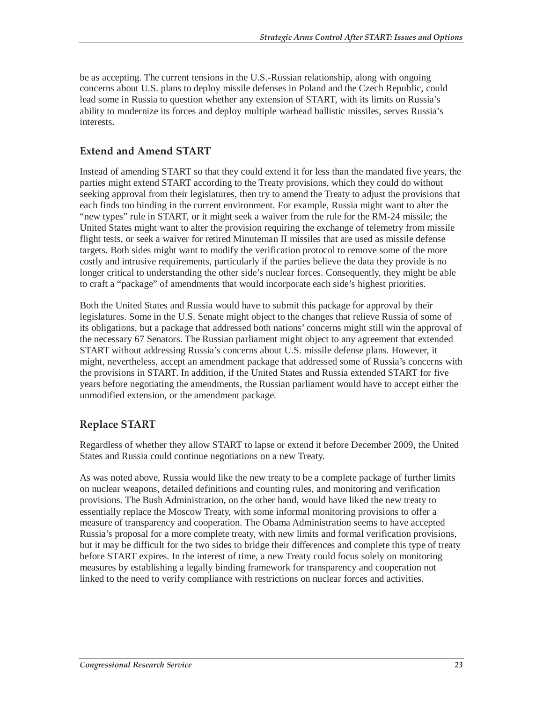be as accepting. The current tensions in the U.S.-Russian relationship, along with ongoing concerns about U.S. plans to deploy missile defenses in Poland and the Czech Republic, could lead some in Russia to question whether any extension of START, with its limits on Russia's ability to modernize its forces and deploy multiple warhead ballistic missiles, serves Russia's interests.

### **Extend and Amend START**

Instead of amending START so that they could extend it for less than the mandated five years, the parties might extend START according to the Treaty provisions, which they could do without seeking approval from their legislatures, then try to amend the Treaty to adjust the provisions that each finds too binding in the current environment. For example, Russia might want to alter the "new types" rule in START, or it might seek a waiver from the rule for the RM-24 missile; the United States might want to alter the provision requiring the exchange of telemetry from missile flight tests, or seek a waiver for retired Minuteman II missiles that are used as missile defense targets. Both sides might want to modify the verification protocol to remove some of the more costly and intrusive requirements, particularly if the parties believe the data they provide is no longer critical to understanding the other side's nuclear forces. Consequently, they might be able to craft a "package" of amendments that would incorporate each side's highest priorities.

Both the United States and Russia would have to submit this package for approval by their legislatures. Some in the U.S. Senate might object to the changes that relieve Russia of some of its obligations, but a package that addressed both nations' concerns might still win the approval of the necessary 67 Senators. The Russian parliament might object to any agreement that extended START without addressing Russia's concerns about U.S. missile defense plans. However, it might, nevertheless, accept an amendment package that addressed some of Russia's concerns with the provisions in START. In addition, if the United States and Russia extended START for five years before negotiating the amendments, the Russian parliament would have to accept either the unmodified extension, or the amendment package.

### **Replace START**

Regardless of whether they allow START to lapse or extend it before December 2009, the United States and Russia could continue negotiations on a new Treaty.

As was noted above, Russia would like the new treaty to be a complete package of further limits on nuclear weapons, detailed definitions and counting rules, and monitoring and verification provisions. The Bush Administration, on the other hand, would have liked the new treaty to essentially replace the Moscow Treaty, with some informal monitoring provisions to offer a measure of transparency and cooperation. The Obama Administration seems to have accepted Russia's proposal for a more complete treaty, with new limits and formal verification provisions, but it may be difficult for the two sides to bridge their differences and complete this type of treaty before START expires. In the interest of time, a new Treaty could focus solely on monitoring measures by establishing a legally binding framework for transparency and cooperation not linked to the need to verify compliance with restrictions on nuclear forces and activities.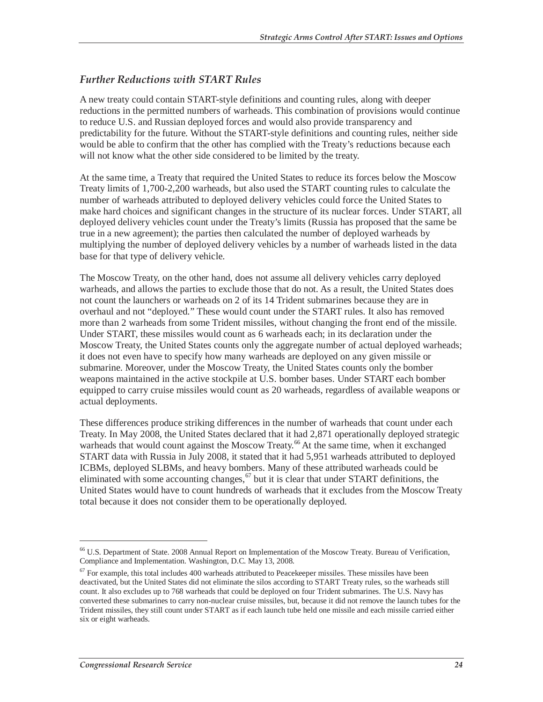### *Further Reductions with START Rules*

A new treaty could contain START-style definitions and counting rules, along with deeper reductions in the permitted numbers of warheads. This combination of provisions would continue to reduce U.S. and Russian deployed forces and would also provide transparency and predictability for the future. Without the START-style definitions and counting rules, neither side would be able to confirm that the other has complied with the Treaty's reductions because each will not know what the other side considered to be limited by the treaty.

At the same time, a Treaty that required the United States to reduce its forces below the Moscow Treaty limits of 1,700-2,200 warheads, but also used the START counting rules to calculate the number of warheads attributed to deployed delivery vehicles could force the United States to make hard choices and significant changes in the structure of its nuclear forces. Under START, all deployed delivery vehicles count under the Treaty's limits (Russia has proposed that the same be true in a new agreement); the parties then calculated the number of deployed warheads by multiplying the number of deployed delivery vehicles by a number of warheads listed in the data base for that type of delivery vehicle.

The Moscow Treaty, on the other hand, does not assume all delivery vehicles carry deployed warheads, and allows the parties to exclude those that do not. As a result, the United States does not count the launchers or warheads on 2 of its 14 Trident submarines because they are in overhaul and not "deployed." These would count under the START rules. It also has removed more than 2 warheads from some Trident missiles, without changing the front end of the missile. Under START, these missiles would count as 6 warheads each; in its declaration under the Moscow Treaty, the United States counts only the aggregate number of actual deployed warheads; it does not even have to specify how many warheads are deployed on any given missile or submarine. Moreover, under the Moscow Treaty, the United States counts only the bomber weapons maintained in the active stockpile at U.S. bomber bases. Under START each bomber equipped to carry cruise missiles would count as 20 warheads, regardless of available weapons or actual deployments.

These differences produce striking differences in the number of warheads that count under each Treaty. In May 2008, the United States declared that it had 2,871 operationally deployed strategic warheads that would count against the Moscow Treaty.<sup>66</sup> At the same time, when it exchanged START data with Russia in July 2008, it stated that it had 5,951 warheads attributed to deployed ICBMs, deployed SLBMs, and heavy bombers. Many of these attributed warheads could be eliminated with some accounting changes,  $67$  but it is clear that under START definitions, the United States would have to count hundreds of warheads that it excludes from the Moscow Treaty total because it does not consider them to be operationally deployed.

<sup>&</sup>lt;sup>66</sup> U.S. Department of State. 2008 Annual Report on Implementation of the Moscow Treaty. Bureau of Verification, Compliance and Implementation. Washington, D.C. May 13, 2008.

 $67$  For example, this total includes 400 warheads attributed to Peacekeeper missiles. These missiles have been deactivated, but the United States did not eliminate the silos according to START Treaty rules, so the warheads still count. It also excludes up to 768 warheads that could be deployed on four Trident submarines. The U.S. Navy has converted these submarines to carry non-nuclear cruise missiles, but, because it did not remove the launch tubes for the Trident missiles, they still count under START as if each launch tube held one missile and each missile carried either six or eight warheads.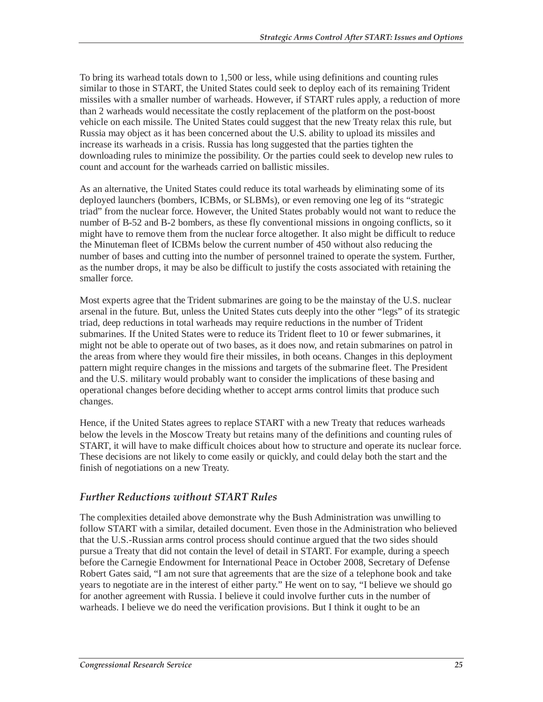To bring its warhead totals down to 1,500 or less, while using definitions and counting rules similar to those in START, the United States could seek to deploy each of its remaining Trident missiles with a smaller number of warheads. However, if START rules apply, a reduction of more than 2 warheads would necessitate the costly replacement of the platform on the post-boost vehicle on each missile. The United States could suggest that the new Treaty relax this rule, but Russia may object as it has been concerned about the U.S. ability to upload its missiles and increase its warheads in a crisis. Russia has long suggested that the parties tighten the downloading rules to minimize the possibility. Or the parties could seek to develop new rules to count and account for the warheads carried on ballistic missiles.

As an alternative, the United States could reduce its total warheads by eliminating some of its deployed launchers (bombers, ICBMs, or SLBMs), or even removing one leg of its "strategic triad" from the nuclear force. However, the United States probably would not want to reduce the number of B-52 and B-2 bombers, as these fly conventional missions in ongoing conflicts, so it might have to remove them from the nuclear force altogether. It also might be difficult to reduce the Minuteman fleet of ICBMs below the current number of 450 without also reducing the number of bases and cutting into the number of personnel trained to operate the system. Further, as the number drops, it may be also be difficult to justify the costs associated with retaining the smaller force.

Most experts agree that the Trident submarines are going to be the mainstay of the U.S. nuclear arsenal in the future. But, unless the United States cuts deeply into the other "legs" of its strategic triad, deep reductions in total warheads may require reductions in the number of Trident submarines. If the United States were to reduce its Trident fleet to 10 or fewer submarines, it might not be able to operate out of two bases, as it does now, and retain submarines on patrol in the areas from where they would fire their missiles, in both oceans. Changes in this deployment pattern might require changes in the missions and targets of the submarine fleet. The President and the U.S. military would probably want to consider the implications of these basing and operational changes before deciding whether to accept arms control limits that produce such changes.

Hence, if the United States agrees to replace START with a new Treaty that reduces warheads below the levels in the Moscow Treaty but retains many of the definitions and counting rules of START, it will have to make difficult choices about how to structure and operate its nuclear force. These decisions are not likely to come easily or quickly, and could delay both the start and the finish of negotiations on a new Treaty.

#### *Further Reductions without START Rules*

The complexities detailed above demonstrate why the Bush Administration was unwilling to follow START with a similar, detailed document. Even those in the Administration who believed that the U.S.-Russian arms control process should continue argued that the two sides should pursue a Treaty that did not contain the level of detail in START. For example, during a speech before the Carnegie Endowment for International Peace in October 2008, Secretary of Defense Robert Gates said, "I am not sure that agreements that are the size of a telephone book and take years to negotiate are in the interest of either party." He went on to say, "I believe we should go for another agreement with Russia. I believe it could involve further cuts in the number of warheads. I believe we do need the verification provisions. But I think it ought to be an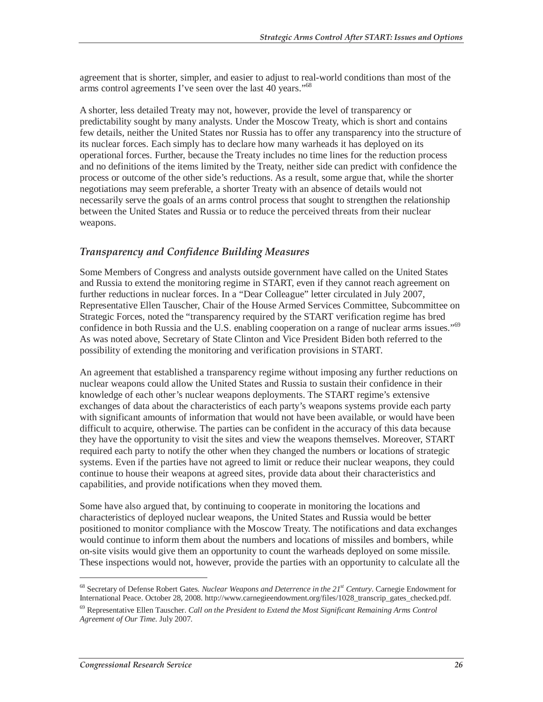agreement that is shorter, simpler, and easier to adjust to real-world conditions than most of the arms control agreements I've seen over the last 40 years."68

A shorter, less detailed Treaty may not, however, provide the level of transparency or predictability sought by many analysts. Under the Moscow Treaty, which is short and contains few details, neither the United States nor Russia has to offer any transparency into the structure of its nuclear forces. Each simply has to declare how many warheads it has deployed on its operational forces. Further, because the Treaty includes no time lines for the reduction process and no definitions of the items limited by the Treaty, neither side can predict with confidence the process or outcome of the other side's reductions. As a result, some argue that, while the shorter negotiations may seem preferable, a shorter Treaty with an absence of details would not necessarily serve the goals of an arms control process that sought to strengthen the relationship between the United States and Russia or to reduce the perceived threats from their nuclear weapons.

### *Transparency and Confidence Building Measures*

Some Members of Congress and analysts outside government have called on the United States and Russia to extend the monitoring regime in START, even if they cannot reach agreement on further reductions in nuclear forces. In a "Dear Colleague" letter circulated in July 2007, Representative Ellen Tauscher, Chair of the House Armed Services Committee, Subcommittee on Strategic Forces, noted the "transparency required by the START verification regime has bred confidence in both Russia and the U.S. enabling cooperation on a range of nuclear arms issues."<sup>69</sup> As was noted above, Secretary of State Clinton and Vice President Biden both referred to the possibility of extending the monitoring and verification provisions in START.

An agreement that established a transparency regime without imposing any further reductions on nuclear weapons could allow the United States and Russia to sustain their confidence in their knowledge of each other's nuclear weapons deployments. The START regime's extensive exchanges of data about the characteristics of each party's weapons systems provide each party with significant amounts of information that would not have been available, or would have been difficult to acquire, otherwise. The parties can be confident in the accuracy of this data because they have the opportunity to visit the sites and view the weapons themselves. Moreover, START required each party to notify the other when they changed the numbers or locations of strategic systems. Even if the parties have not agreed to limit or reduce their nuclear weapons, they could continue to house their weapons at agreed sites, provide data about their characteristics and capabilities, and provide notifications when they moved them.

Some have also argued that, by continuing to cooperate in monitoring the locations and characteristics of deployed nuclear weapons, the United States and Russia would be better positioned to monitor compliance with the Moscow Treaty. The notifications and data exchanges would continue to inform them about the numbers and locations of missiles and bombers, while on-site visits would give them an opportunity to count the warheads deployed on some missile. These inspections would not, however, provide the parties with an opportunity to calculate all the

<sup>&</sup>lt;sup>68</sup> Secretary of Defense Robert Gates. *Nuclear Weapons and Deterrence in the 21<sup>st</sup> Century*. Carnegie Endowment for International Peace. October 28, 2008. http://www.carnegieendowment.org/files/1028\_transcrip\_gates\_checked.pdf.

<sup>69</sup> Representative Ellen Tauscher. *Call on the President to Extend the Most Significant Remaining Arms Control Agreement of Our Time*. July 2007.